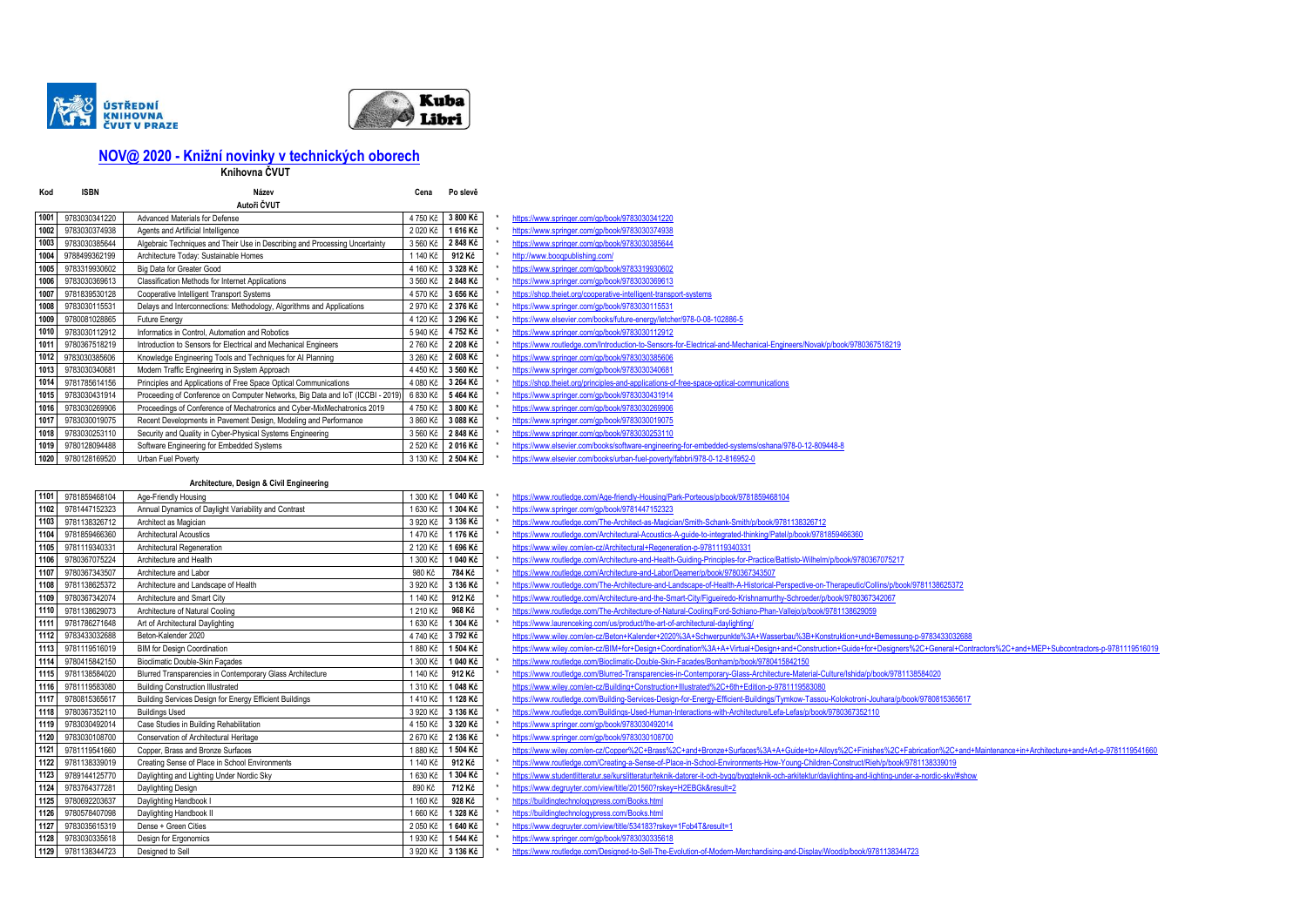



# **[N](mailto:NOV@%202020%20-%20Knižní%20novinky%20v%20technických%20oborech)OV@ 2020 - Knižní novinky v technických oborech**

**Knihovna ČVUT** 

| Kod  | ISBN          | Název                                                                          | Cena     | Po slevě |                                                                                                                      |
|------|---------------|--------------------------------------------------------------------------------|----------|----------|----------------------------------------------------------------------------------------------------------------------|
|      |               | Autoři ČVUT                                                                    |          |          |                                                                                                                      |
| 1001 | 9783030341220 | Advanced Materials for Defense                                                 | 4750 Kč  | 3 800 Kč | https://www.springer.com/gp/book/9783030341220                                                                       |
| 1002 | 9783030374938 | Agents and Artificial Intelligence                                             | 2020 Kč  | 1616 Kč  | https://www.springer.com/gp/book/9783030374938                                                                       |
| 1003 | 9783030385644 | Algebraic Techniques and Their Use in Describing and Processing Uncertainty    | 3 560 Kč | 2848 Kč  | https://www.springer.com/gp/book/9783030385644                                                                       |
| 1004 | 9788499362199 | Architecture Today: Sustainable Homes                                          | 1 140 Kč | 912 Kč   | http://www.booqpublishing.com/                                                                                       |
| 1005 | 9783319930602 | Big Data for Greater Good                                                      | 4 160 Kč | 3 328 Kč | https://www.springer.com/gp/book/9783319930602                                                                       |
| 1006 | 9783030369613 | Classification Methods for Internet Applications                               | 3 560 Kč | 2 848 Kč | https://www.springer.com/gp/book/9783030369613                                                                       |
| 1007 | 9781839530128 | Cooperative Intelligent Transport Systems                                      | 4 570 Kč | 3 656 Kč | https://shop.theiet.org/cooperative-intelligent-transport-systems                                                    |
| 1008 | 9783030115531 | Delays and Interconnections: Methodology, Algorithms and Applications          | 2 970 Kč | 2 376 Kč | https://www.springer.com/gp/book/9783030115531                                                                       |
| 1009 | 9780081028865 | <b>Future Energy</b>                                                           | 4 120 Kč | 3 296 Kč | https://www.elsevier.com/books/future-energy/letcher/978-0-08-102886-5                                               |
| 1010 | 9783030112912 | Informatics in Control, Automation and Robotics                                | 5 940 Kč | 4 752 Kč | https://www.springer.com/gp/book/9783030112912                                                                       |
| 1011 | 9780367518219 | Introduction to Sensors for Electrical and Mechanical Engineers                | 2760 Kč  | 2 208 Kč | https://www.routledge.com/Introduction-to-Sensors-for-Electrical-and-Mechanical-Engineers/Novak/p/book/9780367518219 |
| 1012 | 9783030385606 | Knowledge Engineering Tools and Techniques for Al Planning                     | 3 260 Kč | 2 608 Kč | https://www.springer.com/gp/book/9783030385606                                                                       |
| 1013 | 9783030340681 | Modern Traffic Engineering in System Approach                                  | 4 450 Kč | 3 560 Kč | https://www.springer.com/gp/book/9783030340681                                                                       |
| 1014 | 9781785614156 | Principles and Applications of Free Space Optical Communications               | 4 080 Kč | 3 264 Kč | https://shop.theiet.org/principles-and-applications-of-free-space-optical-communications                             |
| 1015 | 9783030431914 | Proceeding of Conference on Computer Networks, Big Data and IoT (ICCBI - 2019) | 6 830 Kč | 5464 Kč  | https://www.springer.com/gp/book/9783030431914                                                                       |
| 1016 | 9783030269906 | Proceedings of Conference of Mechatronics and Cyber-MixMechatronics 2019       | 4750 Kč  | 3 800 Kč | https://www.springer.com/gp/book/9783030269906                                                                       |
| 1017 | 9783030019075 | Recent Developments in Pavement Design, Modeling and Performance               | 3 860 Kč | 3 088 Kč | https://www.springer.com/gp/book/9783030019075                                                                       |
| 1018 | 9783030253110 | Security and Quality in Cyber-Physical Systems Engineering                     | 3 560 Kč | 2848 Kč  | https://www.springer.com/gp/book/9783030253110                                                                       |
| 1019 | 9780128094488 | Software Engineering for Embedded Systems                                      | 2 520 Kč | 2016 Kč  | https://www.elsevier.com/books/software-engineering-for-embedded-systems/oshana/978-0-12-809448-8                    |
| 1020 | 9780128169520 | Urban Fuel Poverty                                                             | 3 130 Kč | 2 504 Kč | https://www.elsevier.com/books/urban-fuel-poverty/fabbri/978-0-12-816952-0                                           |

| https://www.springer.com/gp/book/9783030341220                                                                       |
|----------------------------------------------------------------------------------------------------------------------|
| https://www.springer.com/gp/book/9783030374938                                                                       |
| https://www.springer.com/gp/book/9783030385644                                                                       |
| http://www.booqpublishing.com/                                                                                       |
| https://www.springer.com/gp/book/9783319930602                                                                       |
| https://www.springer.com/gp/book/9783030369613                                                                       |
| https://shop.theiet.org/cooperative-intelligent-transport-systems                                                    |
| https://www.springer.com/gp/book/9783030115531                                                                       |
| https://www.elsevier.com/books/future-energy/letcher/978-0-08-102886-5                                               |
| https://www.springer.com/gp/book/9783030112912                                                                       |
| https://www.routledge.com/Introduction-to-Sensors-for-Electrical-and-Mechanical-Engineers/Novak/p/book/9780367518219 |
|                                                                                                                      |
| https://www.springer.com/gp/book/9783030385606                                                                       |
| https://www.springer.com/gp/book/9783030340681                                                                       |
| https://shop.theiet.org/principles-and-applications-of-free-space-optical-communications                             |
| https://www.springer.com/gp/book/9783030431914                                                                       |
| https://www.springer.com/gp/book/9783030269906                                                                       |
| https://www.springer.com/gp/book/9783030019075                                                                       |
| https://www.springer.com/gp/book/9783030253110                                                                       |
| https://www.elsevier.com/books/software-engineering-for-embedded-systems/oshana/978-0-12-809448-8                    |

## **Architecture, Design & Civil Engineering**

| 1101 | 9781859468104 | Age-Friendly Housing                                      | 300 Kč   | 1 040 Kč | https://www.routledge.com/Age-friendly-Housing/Park-Porteous/p/book/9781859468104                                                                |
|------|---------------|-----------------------------------------------------------|----------|----------|--------------------------------------------------------------------------------------------------------------------------------------------------|
| 1102 | 9781447152323 | Annual Dynamics of Daylight Variability and Contrast      | 1630 Kč  | 1 304 Kč | https://www.springer.com/gp/book/9781447152323                                                                                                   |
| 1103 | 9781138326712 | Architect as Magician                                     | 3 920 Kč | 3 136 Kč | https://www.routledge.com/The-Architect-as-Magician/Smith-Schank-Smith/p/book/9781138326712                                                      |
| 1104 | 9781859466360 | <b>Architectural Acoustics</b>                            | 1470 Kč  | 1176 Kč  | https://www.routledge.com/Architectural-Acoustics-A-guide-to-integrated-thinking/Patel/p/book/9781859466360                                      |
| 1105 | 9781119340331 | Architectural Regeneration                                | 2 120 Kč | 1696 Kč  | https://www.wilev.com/en-cz/Architectural+Regeneration-p-9781119340331                                                                           |
| 1106 | 9780367075224 | Architecture and Health                                   | 1 300 Kč | 1 040 Kč | https://www.routledge.com/Architecture-and-Health-Guiding-Principles-for-Practice/Battisto-Wilhelm/p/book/9780367075217                          |
| 1107 | 9780367343507 | Architecture and Labor                                    | 980 Kč   | 784 Kč   | https://www.routledge.com/Architecture-and-Labor/Deamer/p/book/9780367343507                                                                     |
| 1108 | 9781138625372 | Architecture and Landscape of Health                      | 3 920 Kč | 3 136 Kč | https://www.routledge.com/The-Architecture-and-Landscape-of-Health-A-Historical-Perspective-on-Therapeutic/Collins/p/book/97811386253            |
| 1109 | 9780367342074 | Architecture and Smart City                               | 140 Kč   | 912 Kč   | https://www.routledge.com/Architecture-and-the-Smart-City/Figueiredo-Krishnamurthy-Schroeder/p/book/9780367342067                                |
| 1110 | 9781138629073 | Architecture of Natural Cooling                           | 1210 Kč  | 968 Kč   | https://www.routledge.com/The-Architecture-of-Natural-Cooling/Ford-Schiano-Phan-Vallejo/p/book/9781138629059                                     |
| 1111 | 9781786271648 | Art of Architectural Daylighting                          | 1630 Kč  | 1 304 Kč | https://www.laurenceking.com/us/product/the-art-of-architectural-davlighting/                                                                    |
| 1112 | 9783433032688 | Beton-Kalender 2020                                       | 4740 Kč  | 3792 Kč  | https://www.wiley.com/en-cz/Beton+Kalender+2020%3A+Schwerpunkte%3A+Wasserbau%3B+Konstruktion+und+Bemessung-p-978343303                           |
| 1113 | 9781119516019 | <b>BIM for Design Coordination</b>                        | 1880 Kč  | 1 504 Kč | https://www.wiley.com/en-cz/BIM+for+Design+Coordination%3A+A+Virtual+Design+and+Construction+Guide+for+Designers%2C+General                      |
| 1114 | 9780415842150 | Bioclimatic Double-Skin Facades                           | 300 Kč   | 1 040 Kč | https://www.routledge.com/Bioclimatic-Double-Skin-Facades/Bonham/p/book/9780415842150                                                            |
| 1115 | 9781138584020 | Blurred Transparencies in Contemporary Glass Architecture | 140 Kč   | 912 Kč   | https://www.routledge.com/Blurred-Transparencies-in-Contemporary-Glass-Architecture-Material-Culture/Ishida/p/book/9781138584020                 |
| 1116 | 9781119583080 | <b>Building Construction Illustrated</b>                  | 1310 Kč  | 1048 Kč  | https://www.wiley.com/en-cz/Building+Construction+Illustrated%2C+6th+Edition-p-9781119583080                                                     |
| 1117 | 9780815365617 | Building Services Design for Energy Efficient Buildings   | 1410 Kč  | 1 128 Kč | https://www.routledge.com/Building-Services-Design-for-Energy-Efficient-Buildings/Tymkow-Tassou-Kolokotroni-Jouhara/p/book/978081536             |
| 1118 | 9780367352110 | <b>Buildings Used</b>                                     | 3 920 Kč | 3 136 Kč | https://www.routledge.com/Buildings-Used-Human-Interactions-with-Architecture/Lefa-Lefas/p/book/9780367352110                                    |
| 1119 | 9783030492014 | Case Studies in Building Rehabilitation                   | 4 150 Kč | 3 320 Kč | https://www.springer.com/gp/book/9783030492014                                                                                                   |
| 1120 | 9783030108700 | Conservation of Architectural Heritage                    | 2 670 Kč | 2 136 Kč | https://www.springer.com/gp/book/9783030108700                                                                                                   |
| 1121 | 9781119541660 | Copper, Brass and Bronze Surfaces                         | 880 Kč   | 1 504 Kč | https://www.wiley.com/en-cz/Copper%2C+Brass%2C+and+Bronze+Surfaces%3A+A+Guide+to+Alloys%2C+Finishes%2C+Fabrication%2C                            |
| 1122 | 9781138339019 | Creating Sense of Place in School Environments            | 140 Kč   | 912 Kč   | https://www.routledge.com/Creating-a-Sense-of-Place-in-School-Environments-How-Young-Children-Construct/Rieh/p/book/9781138339019                |
| 1123 | 9789144125770 | Daylighting and Lighting Under Nordic Sky                 | 630 Kč   | 1 304 Kč | https://www.studentlitteratur.se/kurslitteratur/teknik-datorer-it-och-bygg/byggteknik-och-arkitektur/daylighting-and-lighting-under-a-nordic-sky |
| 1124 | 9783764377281 | Daylighting Design                                        | 890 Kč   | 712 Kč   | https://www.degruyter.com/view/title/201560?rskey=H2EBGk&result=2                                                                                |
| 1125 | 9780692203637 | Daylighting Handbook I                                    | 160 Kč   | 928 Kč   | https://buildingtechnologypress.com/Books.html                                                                                                   |
| 1126 | 9780578407098 | Daylighting Handbook II                                   | 1660 Kč  | 1 328 Kč | https://buildingtechnologypress.com/Books.html                                                                                                   |
| 1127 | 9783035615319 | Dense + Green Cities                                      | 2 050 Kč | 1640 Kč  | https://www.degruyter.com/view/title/534183?rskey=1Fob4T&result=1                                                                                |
| 1128 | 9783030335618 | Design for Ergonomics                                     | 1930 Kč  | 1 544 Kč | https://www.springer.com/gp/book/9783030335618                                                                                                   |
| 1129 | 9781138344723 | Designed to Sell                                          | 3 920 Kč | 3 136 Kč | https://www.routledge.com/Designed-to-Sell-The-Evolution-of-Modern-Merchandising-and-Display/Wood/p/book/9781138344723                           |
|      |               |                                                           |          |          |                                                                                                                                                  |

| ,,,,, | <b>2101002400104</b> | under them the thousand                                   |          | <b>UUU NG TUHU NG</b> | <u>ups.//www.routicage.com/Age-mentified in original Fark-Fortectis/procon 370 1003400 104</u>                                                                                    |
|-------|----------------------|-----------------------------------------------------------|----------|-----------------------|-----------------------------------------------------------------------------------------------------------------------------------------------------------------------------------|
| 1102  | 9781447152323        | Annual Dynamics of Daylight Variability and Contrast      | 1 630 Kč | 1 304 Kč              | https://www.springer.com/gp/book/9781447152323                                                                                                                                    |
| 1103  | 9781138326712        | Architect as Magician                                     | 3 920 Kč | 3 136 Kč              | https://www.routledge.com/The-Architect-as-Magician/Smith-Schank-Smith/p/book/9781138326712                                                                                       |
| 1104  | 9781859466360        | <b>Architectural Acoustics</b>                            | 1470 Kč  | 1176 Kč               | https://www.routledge.com/Architectural-Acoustics-A-guide-to-integrated-thinking/Patel/p/book/9781859466360                                                                       |
| 1105  | 9781119340331        | Architectural Regeneration                                | 2 120 Kč | 1696 Kč               | https://www.wiley.com/en-cz/Architectural+Regeneration-p-9781119340331                                                                                                            |
| 1106  | 9780367075224        | Architecture and Health                                   | 1 300 Ki | 1 040 Kč              | https://www.routledge.com/Architecture-and-Health-Guiding-Principles-for-Practice/Battisto-Wilhelm/p/book/9780367075217                                                           |
| 1107  | 9780367343507        | Architecture and Labor                                    | 980 Kč   | 784 Kč                | https://www.routledge.com/Architecture-and-Labor/Deamer/p/book/9780367343507                                                                                                      |
| 1108  | 9781138625372        | Architecture and Landscape of Health                      | 3 920 Kč | 3 136 Kč              | https://www.routledge.com/The-Architecture-and-Landscape-of-Health-A-Historical-Perspective-on-Therapeutic/Collins/p/book/9781138625372                                           |
| 1109  | 9780367342074        | Architecture and Smart City                               | 140 Ko   | 912 Kč                | https://www.routledge.com/Architecture-and-the-Smart-City/Figueiredo-Krishnamurthy-Schroeder/p/book/9780367342067                                                                 |
| 1110  | 9781138629073        | Architecture of Natural Cooling                           | 1210 Kč  | 968 Kč                | https://www.routledge.com/The-Architecture-of-Natural-Cooling/Ford-Schiano-Phan-Vallejo/p/book/9781138629059                                                                      |
| 1111  | 9781786271648        | Art of Architectural Daylighting                          | 1 630 Kč | 1 304 Kč              | https://www.laurenceking.com/us/product/the-art-of-architectural-daylighting/                                                                                                     |
| 1112  | 9783433032688        | Beton-Kalender 2020                                       | 4 740 Kč | 3 792 Kč              | https://www.wiley.com/en-cz/Beton+Kalender+2020%3A+Schwerpunkte%3A+Wasserbau%3B+Konstruktion+und+Bemessung-p-9783433032688                                                        |
| 1113  | 9781119516019        | <b>BIM for Design Coordination</b>                        | 1880 Kč  | 1 504 Kč              | https://www.wiley.com/en-cz/BIM+for+Design+Coordination%3A+A+Virtual+Design+and+Construction+Guide+for+Designers%2C+General+Contractors%2C+and+MEP+Subcontractors-p-9781119516019 |
| 1114  | 9780415842150        | Bioclimatic Double-Skin Façades                           | 1 300 Kč | 1 040 Kč              | https://www.routledge.com/Bioclimatic-Double-Skin-Facades/Bonham/p/book/9780415842150                                                                                             |
| 1115  | 9781138584020        | Blurred Transparencies in Contemporary Glass Architecture | 140 Ko   | 912 Kč                | https://www.routledge.com/Blurred-Transparencies-in-Contemporary-Glass-Architecture-Material-Culture/Ishida/p/book/9781138584020                                                  |
| 1116  | 9781119583080        | <b>Building Construction Illustrated</b>                  | 1310 Kč  | 1 048 Kč              | https://www.wiley.com/en-cz/Building+Construction+Illustrated%2C+6th+Edition-p-9781119583080                                                                                      |
| 1117  | 9780815365617        | Building Services Design for Energy Efficient Buildings   | 1410 Kč  | 1 128 Kč              | https://www.routledge.com/Building-Services-Design-for-Energy-Efficient-Buildings/Tymkow-Tassou-Kolokotroni-Jouhara/p/book/9780815365617                                          |
| 1118  | 9780367352110        | <b>Buildings Used</b>                                     | 3 920 Kč | 3 136 Kč              | https://www.routledge.com/Buildings-Used-Human-Interactions-with-Architecture/Lefa-Lefas/p/book/9780367352110                                                                     |
| 1119  | 9783030492014        | Case Studies in Building Rehabilitation                   | 4 150 Kč | 3 320 Kč              | https://www.springer.com/gp/book/9783030492014                                                                                                                                    |
| 1120  | 9783030108700        | Conservation of Architectural Heritage                    | 2670 Kč  | 2 136 Kč              | https://www.springer.com/gp/book/9783030108700                                                                                                                                    |
| 1121  | 9781119541660        | Copper, Brass and Bronze Surfaces                         | 1880 Kč  | 1 504 Kč              | https://www.wiley.com/en-cz/Copper%2C+Brass%2C+and+Bronze+Surfaces%3A+A+Guide+to+Alloys%2C+Finishes%2C+Fabrication%2C+and+Maintenance+in+Architecture+and+Art-p-9781119541660     |
| 1122  | 9781138339019        | Creating Sense of Place in School Environments            | 140 Kč   | 912 Kč                | https://www.routledge.com/Creating-a-Sense-of-Place-in-School-Environments-How-Young-Children-Construct/Rieh/p/book/9781138339019                                                 |
| 1123  | 9789144125770        | Daylighting and Lighting Under Nordic Sky                 | 1630 Ko  | 1 304 Kč              | ttps://www.studentlitteratur.se/kurslitteratur/teknik-datorer-it-och-bygg/byggteknik-och-arkitektur/daylighting-and-lighting-under-a-nordic-sky/#show                             |
| 1124  | 9783764377281        | Daylighting Design                                        | 890 Kč   | 712 Kč                | https://www.degruyter.com/view/title/201560?rskey=H2EBGk&result=2                                                                                                                 |
| 1125  | 9780692203637        | Daylighting Handbook I                                    | 160 Kč   | 928 Kč                | https://buildingtechnologypress.com/Books.html                                                                                                                                    |
| 1126  | 9780578407098        | Daylighting Handbook II                                   | 1660 Kč  | 1 328 Kč              | https://buildingtechnologypress.com/Books.html                                                                                                                                    |
| 1127  | 0703035645340        | Denne : Croon Cition                                      | 200000   | 4.640 K <sub>2</sub>  | https://www.dographer.com/vigu/title/E944099rokavetEeb4T9.com/t=4                                                                                                                 |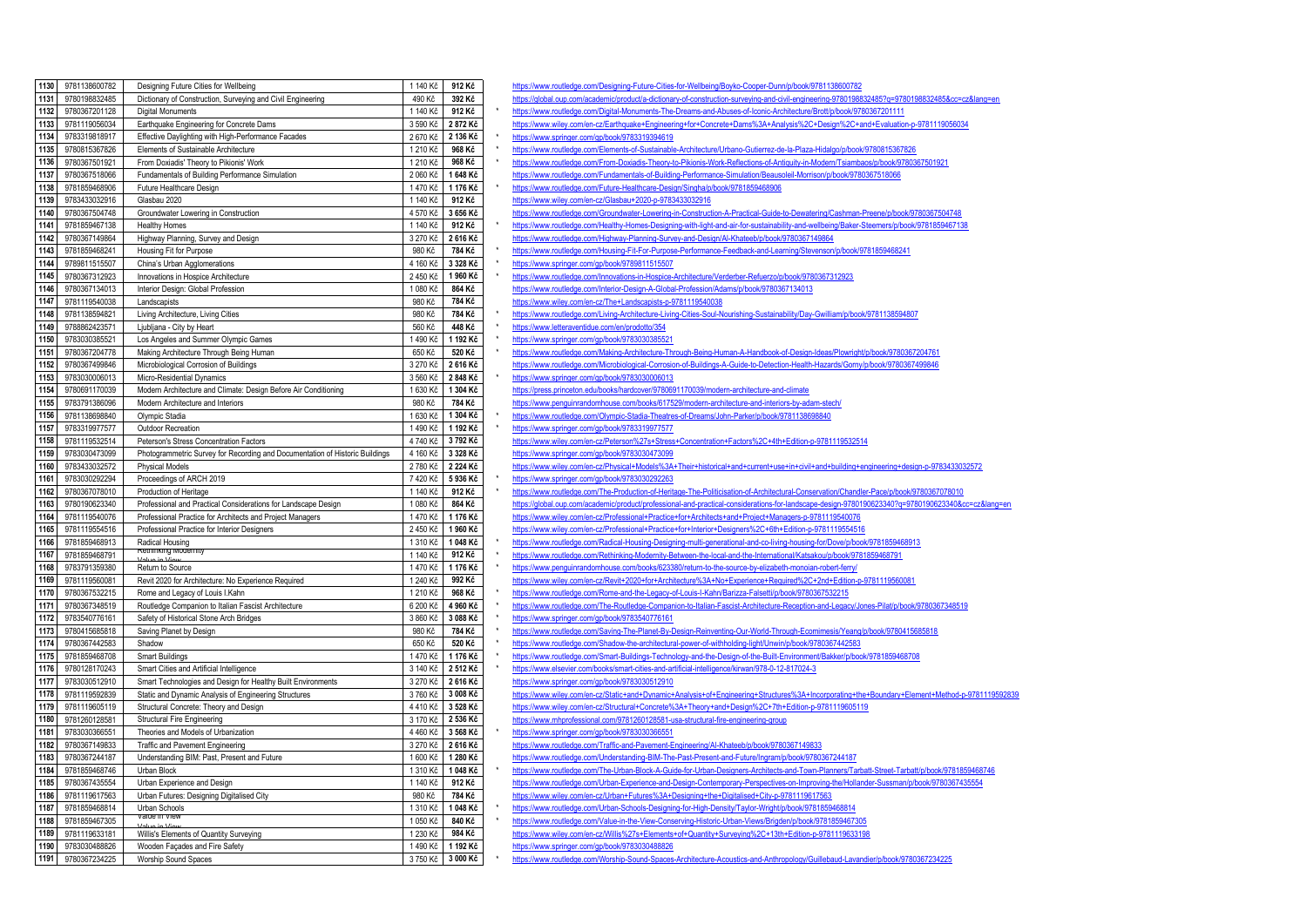| 1130         | 9781138600782                  | Designing Future Cities for Wellbeing                                                  | 1 140 Kč             | 912 Kč            |  |
|--------------|--------------------------------|----------------------------------------------------------------------------------------|----------------------|-------------------|--|
| 1131         | 9780198832485                  | Dictionary of Construction, Surveying and Civil Engineering                            | 490 Kč               | 392 Kč            |  |
| 1132         | 9780367201128                  | Digital Monuments                                                                      | 1 140 Kč             | 912 Kč            |  |
| 1133         | 9781119056034                  | Earthquake Engineering for Concrete Dams                                               | 3 590 Kč             | 2872Kč            |  |
| 1134         | 9783319818917                  | Effective Daylighting with High-Performance Facades                                    | 2 670 Kč             | 2 136 Kč          |  |
| 1135         | 9780815367826                  | Elements of Sustainable Architecture                                                   | 1 210 Kč             | 968 Kč            |  |
| 1136         | 9780367501921                  | From Doxiadis' Theory to Pikionis' Work                                                | 1 210 Kč             | 968 Kč            |  |
| 1137         | 9780367518066                  | Fundamentals of Building Performance Simulation                                        | 2 060 Kč             | 1648 Kč           |  |
| 1138         | 9781859468906                  | Future Healthcare Design                                                               | 1470 Kč              | 1 176 Kč          |  |
| 1139         | 9783433032916                  | Glasbau 2020                                                                           | 1 140 Kč             | 912 Kč            |  |
| 1140         | 9780367504748                  | Groundwater Lowering in Construction                                                   | 4 570 Kč             | 3 656 Kč          |  |
| 1141         | 9781859467138                  | <b>Healthy Homes</b>                                                                   | 1 140 Kč             | 912 Kč            |  |
| 1142         | 9780367149864                  | Highway Planning, Survey and Design                                                    | 3 270 Kč             | 2616 Kč           |  |
| 1143         | 9781859468241                  | Housing Fit for Purpose                                                                | 980 Kč               | 784 Kč            |  |
| 1144         | 9789811515507                  | China's Urban Agglomerations                                                           | 4 160 Kč             | 3 328 Kč          |  |
| 1145         | 9780367312923                  | Innovations in Hospice Architecture                                                    | 2 450 Kč             | 1960 Kč           |  |
| 1146         | 9780367134013                  | Interior Design: Global Profession                                                     | 1 080 Kč             | 864 Kč            |  |
| 1147         | 9781119540038                  | Landscapists                                                                           | 980 Kč               | 784 Kč            |  |
| 1148         | 9781138594821                  | Living Architecture, Living Cities                                                     | 980 Kč               | 784 Kč            |  |
| 1149         | 9788862423571                  | Ljubljana - City by Heart                                                              | 560 Kč               | 448 Kč            |  |
| 1150         | 9783030385521                  | Los Angeles and Summer Olympic Games                                                   | 1490 Kč              | 1 192 Kč          |  |
| 1151         | 9780367204778                  | Making Architecture Through Being Human                                                | 650 Kč               | 520 Kč            |  |
| 1152         | 9780367499846                  | Microbiological Corrosion of Buildings                                                 | 3 270 Kč             | 2616 Kč           |  |
| 1153         | 9783030006013                  | Micro-Residential Dynamics                                                             | 3 560 Kč             | 2848 Kč           |  |
| 1154         | 9780691170039                  | Modern Architecture and Climate: Design Before Air Conditioning                        | 1 630 Kč             | 1 304 Kč          |  |
| 1155         | 9783791386096                  | Modern Architecture and Interiors                                                      | 980 Kč               | 784 Kč            |  |
| 1156         | 9781138698840                  | Olympic Stadia                                                                         | 1 630 Kč             | 1 304 Kč          |  |
| 1157         | 9783319977577                  | Outdoor Recreation                                                                     | 1490 Kč              | 1 192 Kč          |  |
| 1158         | 9781119532514                  | Peterson's Stress Concentration Factors                                                | 4740 Kč              | 3792 Kč           |  |
| 1159         | 9783030473099                  | Photogrammetric Survey for Recording and Documentation of Historic Buildings           | 4 160 Kč             | 3 328 Kč          |  |
| 1160         | 9783433032572                  | <b>Physical Models</b>                                                                 | 2780 Kč              | 2 224 Kč          |  |
| 1161         | 9783030292294                  | Proceedings of ARCH 2019                                                               | 7 420 Kč             | 5936 Kč           |  |
| 1162         | 9780367078010                  | Production of Heritage                                                                 | 1 140 Kč             | 912 Kč            |  |
| 1163         | 9780190623340                  | Professional and Practical Considerations for Landscape Design                         | 1 080 Kč             | 864 Kč            |  |
| 1164         | 9781119540076                  | Professional Practice for Architects and Project Managers                              | 1470 Kč              | 1 176 Kč          |  |
| 1165         | 9781119554516                  | Professional Practice for Interior Designers                                           | 2 450 Kč             | 1960 Kč           |  |
| 1166         | 9781859468913                  | Radical Housing<br>Rethinking Modernity                                                | 1 310 Kč             | 1048 Kč           |  |
| 1167<br>1168 | 9781859468791                  |                                                                                        | 1 140 Kč             | 912 Kč            |  |
| 1169         | 9783791359380                  | Return to Source                                                                       | 1470 Kč              | 1176 Kč<br>992 Kč |  |
| 1170         | 9781119560081<br>9780367532215 | Revit 2020 for Architecture: No Experience Required<br>Rome and Legacy of Louis I.Kahn | 1 240 Kč<br>1 210 Kč | 968 Kč            |  |
| 1171         | 9780367348519                  | Routledge Companion to Italian Fascist Architecture                                    | 6 200 Kč             | 4 960 Kč          |  |
| 1172         | 9783540776161                  | Safety of Historical Stone Arch Bridges                                                | 3 860 Kč             | 3 088 Kč          |  |
| 1173         | 9780415685818                  | Saving Planet by Design                                                                | 980 Kč               | 784 Kč            |  |
| 1174         | 9780367442583                  | Shadow                                                                                 | 650 Kč               | 520 Kč            |  |
| 1175         | 9781859468708                  | <b>Smart Buildings</b>                                                                 | 1470 Kč              | 1176 Kč           |  |
| 1176         | 9780128170243                  | Smart Cities and Artificial Intelligence                                               | 3 140 Kč             | 2 512 Kč          |  |
| 1177         | 9783030512910                  | Smart Technologies and Design for Healthy Built Environments                           | 3 270 Kč             | 2616 Kč           |  |
| 1178         | 9781119592839                  | Static and Dynamic Analysis of Engineering Structures                                  | 3760 Kč              | 3 008 Kč          |  |
| 1179         | 9781119605119                  | Structural Concrete: Theory and Design                                                 | 4410 Kč              | 3 528 Kč          |  |
| 1180         | 9781260128581                  | <b>Structural Fire Engineering</b>                                                     | 3 170 Kč             | 2 536 Kč          |  |
| 1181         | 9783030366551                  | Theories and Models of Urbanization                                                    | 4 460 Kč             | 3 568 Kč          |  |
| 1182         | 9780367149833                  | Traffic and Pavement Engineering                                                       | 3 270 Kč             | 2616 Kč           |  |
| 1183         | 9780367244187                  | Understanding BIM: Past, Present and Future                                            | 1 600 Kč             | 1 280 Kč          |  |
| 1184         | 9781859468746                  | Urban Block                                                                            | 1 310 Kč             | 1 048 Kč          |  |
| 1185         | 9780367435554                  | Urban Experience and Design                                                            | 1 140 Kč             | 912 Kč            |  |
| 1186         | 9781119617563                  | Urban Futures: Designing Digitalised City                                              | 980 Kč               | 784 Kč            |  |
| 1187         | 9781859468814                  | Urban Schools                                                                          | 1310 Kč              | 1 048 Kč          |  |
| 1188         | 9781859467305                  | value in view                                                                          | 1 050 Kč             | 840 Kč            |  |
| 1189         | 9781119633181                  | Willis's Elements of Quantity Surveying                                                | 1 230 Kč             | 984 Kč            |  |
| 1190         | 9783030488826                  | Wooden Façades and Fire Safety                                                         | 1490 Kč              | 1 192 Kč          |  |
| 1191         | 9780367234225                  | Worship Sound Spaces                                                                   | 3750 Kč              | 3 000 Kč          |  |
|              |                                |                                                                                        |                      |                   |  |

<https://www.routledge.com/Designing-Future-Cities-for-Wellbeing/Boyko-Cooper-Dunn/p/book/9781138600782> https://global.oup.com/academic/product/a-dictionary-of-construction-surveying-and-civil-engineering-97801988324857g=9780198832485&cc=cz&lang=en <https://www.routledge.com/Digital-Monuments-The-Dreams-and-Abuses-of-Iconic-Architecture/Brott/p/book/9780367201111> <https://www.wiley.com/en-cz/Earthquake+Engineering+for+Concrete+Dams%3A+Analysis%2C+Design%2C+and+Evaluation-p-9781119056034> <https://www.springer.com/gp/book/9783319394619> 1135 Marchitecture 2014 Elements-of-Sustainable-Architecture/Urbano-Gutierrez-de-la-Plaza-Hidalgo/p/book/9780815367826<br>11 Marchitecture and data com/Frem Deviseds Theory to Bildesia Mark Deflections of Artistiku in Medem/F <https://www.routledge.com/From-Doxiadis-Theory-to-Pikionis-Work-Reflections-of-Antiquity-in-Modern/Tsiambaos/p/book/9780367501921> **1137** 9780367518066 Fundamentals of Building Performance Simulation 2 060 Kč **1 648 Kč** <https://www.routledge.com/Fundamentals-of-Building-Performance-Simulation/Beausoleil-Morrison/p/book/9780367518066> \* <https://www.routledge.com/Future-Healthcare-Design/Singha/p/book/9781859468906> **1139** 9783433032916 Glasbau 2020 1 140 Kč **912 Kč** <https://www.wiley.com/en-cz/Glasbau+2020-p-9783433032916> <https://www.routledge.com/Groundwater-Lowering-in-Construction-A-Practical-Guide-to-Dewatering/Cashman-Preene/p/book/9780367504748><br>- المستقامة المسابق المستقبل المستقبل المستقبل المستقبل المستقبل المستقبل المستقبل المستقبل <https://www.routledge.com/Healthy-Homes-Designing-with-light-and-air-for-sustainability-and-wellbeing/Baker-Steemers/p/book/9781859467138> <https://www.routledge.com/Highway-Planning-Survey-and-Design/Al-Khateeb/p/book/9780367149864> <sup>1</sup> <https://www.routledge.com/Housing-Fit-For-Purpose-Performance-Feedback-and-Learning/Stevenson/p/book/9781859468241><br>- William William Proceeds the Computer of the Computer of the Computer of the Computer of the Computer 1<br>**<https://www.springer.com/gp/book/9789811515507>** 1145 <https://www.routledge.com/Innovations-in-Hospice-Architecture/Verderber-Refuerzo/p/book/9780367312923> nttps://www.routledge.com/Interior-Design-A-Global-Profession/Adams/p/book/9780367134013 11the://www.wiley.com/en-cz/The+Landscapists-p-9781119540038<br>Although Warehouse and the same finite a Applituding Listine Office Real A <sup>\*</sup> <https://www.routledge.com/Living-Architecture-Living-Cities-Soul-Nourishing-Sustainability/Day-Gwilliam/p/book/9781138594807><br>\* https://www.routledge.com/laving-Architecture-Living-Cities-Soul-Nourishing-Sustainability/ **1149** 9788862423571 Ljubljana - City by Heart 560 Kč **448 Kč** \* <https://www.letteraventidue.com/en/prodotto/354> **1150** 9783030385521 Los Angeles and Summer Olympic Games 1 490 Kč **1 192 Kč** \* <https://www.springer.com/gp/book/9783030385521> **1151** 9780367204778 Making Architecture Through Being Human 650 Kč **520 Kč** \* <https://www.routledge.com/Making-Architecture-Through-Being-Human-A-Handbook-of-Design-Ideas/Plowright/p/book/9780367204761> **1152** 9780367499846 Microbiological Corrosion of Buildings 3 270 Kč **2 616 Kč** <https://www.routledge.com/Microbiological-Corrosion-of-Buildings-A-Guide-to-Detection-Health-Hazards/Gorny/p/book/9780367499846> **1153** 9783030006013 Micro-Residential Dynamics 3 560 Kč **2 848 Kč** \* <https://www.springer.com/gp/book/9783030006013> <https://press.princeton.edu/books/hardcover/9780691170039/modern-architecture-and-climate> **1155** 9783791386096 Modern Architecture and Interiors 980 Kč **784 Kč** <https://www.penguinrandomhouse.com/books/617529/modern-architecture-and-interiors-by-adam-stech/> \* <https://www.routledge.com/Olympic-Stadia-Theatres-of-Dreams/John-Parker/p/book/9781138698840> **1157** 9783319977577 Outdoor Recreation 1 490 Kč **1 192 Kč** \* <https://www.springer.com/gp/book/9783319977577> <https://www.wiley.com/en-cz/Peterson%27s+Stress+Concentration+Factors%2C+4th+Edition-p-9781119532514> <https://www.springer.com/gp/book/9783030473099> <https://www.wiley.com/en-cz/Physical+Models%3A+Their+historical+and+current+use+in+civil+and+building+engineering+design-p-9783433032572> **1161** 9783030292294 Proceedings of ARCH 2019 7 420 Kč **5 936 Kč** \* <https://www.springer.com/gp/book/9783030292263> **1162** 9780367078010 Production of Heritage 1 140 Kč **912 Kč** \* <https://www.routledge.com/The-Production-of-Heritage-The-Politicisation-of-Architectural-Conservation/Chandler-Pace/p/book/9780367078010> https://global.oup.com/academic/product/professional-and-practical-considerations-for-landscape-design-97801906233407g=9780190623340&cc=cz&lang=en **1164** 9781119540076 Professional Practice for Architects and Project Managers 1 470 Kč **1 176 Kč** <https://www.wiley.com/en-cz/Professional+Practice+for+Architects+and+Project+Managers-p-9781119540076> <https://www.wiley.com/en-cz/Professional+Practice+for+Interior+Designers%2C+6th+Edition-p-9781119554516> **1166** 9781859468913 Radical Housing 1 310 Kč **1 048 Kč** \* <https://www.routledge.com/Radical-Housing-Designing-multi-generational-and-co-living-housing-for/Dove/p/book/9781859468913> Value in View 1 140 Kč **912 Kč** \* <https://www.routledge.com/Rethinking-Modernity-Between-the-local-and-the-International/Katsakou/p/book/9781859468791> **1168** 9783791359380 Return to Source 1 470 Kč **1 176 Kč** \* <https://www.penguinrandomhouse.com/books/623380/return-to-the-source-by-elizabeth-monoian-robert-ferry/> <https://www.wiley.com/en-cz/Revit+2020+for+Architecture%3A+No+Experience+Required%2C+2nd+Edition-p-9781119560081> \* <https://www.routledge.com/Rome-and-the-Legacy-of-Louis-I-Kahn/Barizza-Falsetti/p/book/9780367532215> <https://www.routledge.com/The-Routledge-Companion-to-Italian-Fascist-Architecture-Reception-and-Legacy/Jones-Pilat/p/book/9780367348519> **1172** 9783540776161 Safety of Historical Stone Arch Bridges 3 860 Kč **3 088 Kč** \* <https://www.springer.com/gp/book/9783540776161> \* <https://www.routledge.com/Saving-The-Planet-By-Design-Reinventing-Our-World-Through-Ecomimesis/Yeang/p/book/9780415685818> \* <https://www.routledge.com/Shadow-the-architectural-power-of-withholding-light/Unwin/p/book/9780367442583> \* <https://www.routledge.com/Smart-Buildings-Technology-and-the-Design-of-the-Built-Environment/Bakker/p/book/9781859468708> <sup>\*</sup> <https://www.elsevier.com/books/smart-cities-and-artificial-intelligence/kirwan/978-0-12-817024-3> <https://www.springer.com/gp/book/9783030512910> <https://www.wiley.com/en-cz/Static+and+Dynamic+Analysis+of+Engineering+Structures%3A+Incorporating+the+Boundary+Element+Method-p-9781119592839> <https://www.wiley.com/en-cz/Structural+Concrete%3A+Theory+and+Design%2C+7th+Edition-p-9781119605119> **1180** 9781260128581 Structural Fire Engineering 3 170 Kč **2 536 Kč** <https://www.mhprofessional.com/9781260128581-usa-structural-fire-engineering-group> **1181** 9783030366551 Theories and Models of Urbanization 4 460 Kč **3 568 Kč** \* <https://www.springer.com/gp/book/9783030366551> nttps://www.routledge.com/Traffic-and-Pavement-Engineering/Al-Khateeb/p/book/9780367149833 <https://www.routledge.com/Understanding-BIM-The-Past-Present-and-Future/Ingram/p/book/9780367244187> <https://www.routledge.com/The-Urban-Block-A-Guide-for-Urban-Designers-Architects-and-Town-Planners/Tarbatt-Street-Tarbatt/p/book/9781859468746> <https://www.routledge.com/Urban-Experience-and-Design-Contemporary-Perspectives-on-Improving-the/Hollander-Sussman/p/book/9780367435554> <https://www.wiley.com/en-cz/Urban+Futures%3A+Designing+the+Digitalised+City-p-9781119617563> <https://www.routledge.com/Urban-Schools-Designing-for-High-Density/Taylor-Wright/p/book/9781859468814> Value in View 1 050 Kč **840 Kč** \* <https://www.routledge.com/Value-in-the-View-Conserving-Historic-Urban-Views/Brigden/p/book/9781859467305> <https://www.wiley.com/en-cz/Willis%27s+Elements+of+Quantity+Surveying%2C+13th+Edition-p-9781119633198> **1190** 9783030488826 Wooden Façades and Fire Safety 1 490 Kč **1 192 Kč** <https://www.springer.com/gp/book/9783030488826> \* <https://www.routledge.com/Worship-Sound-Spaces-Architecture-Acoustics-and-Anthropology/Guillebaud-Lavandier/p/book/9780367234225>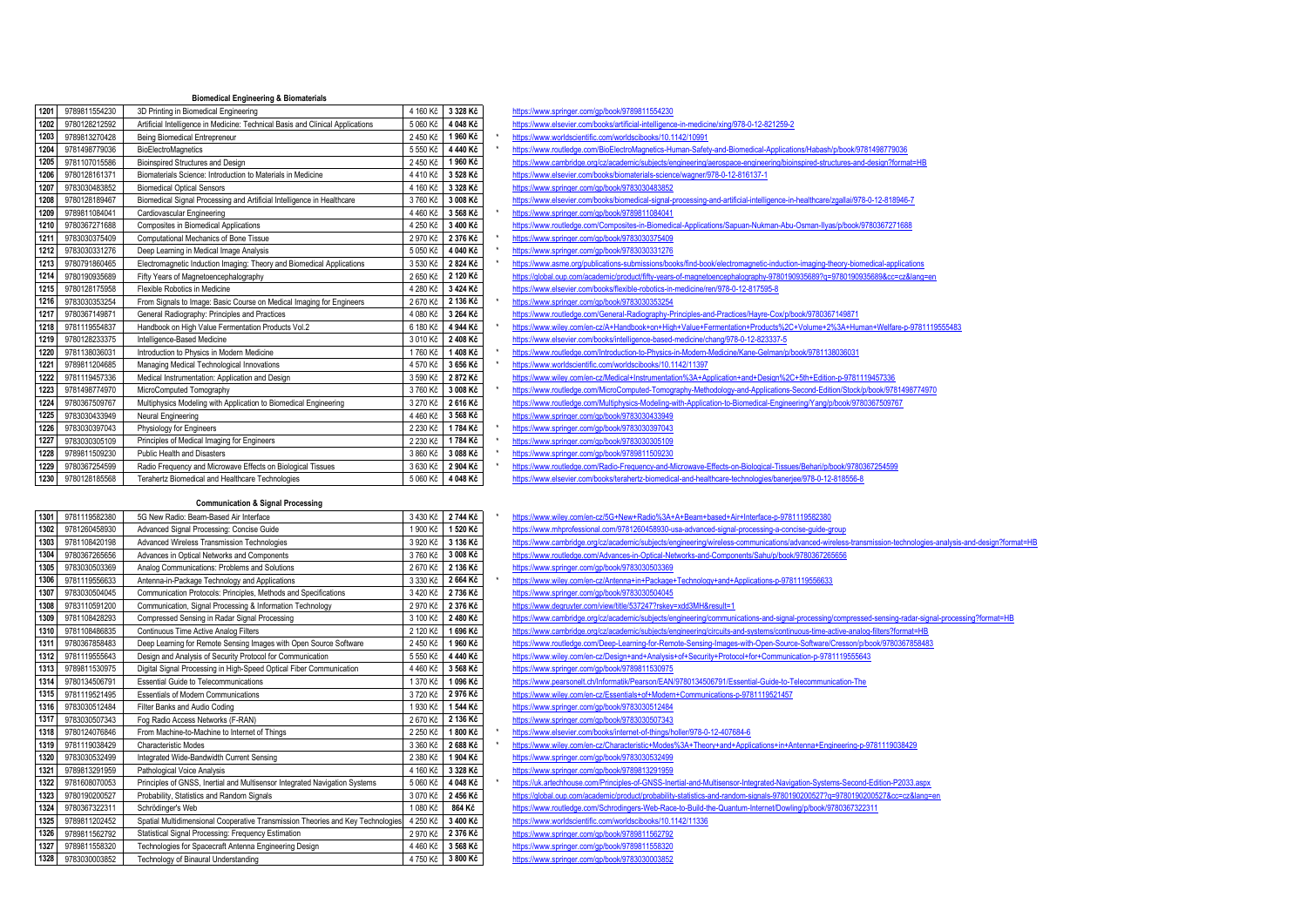## **Biomedical Engineering & Biomaterials**

| 1201 | 9789811554230 | 3D Printing in Biomedical Engineering                                          | 4 160 Kč | 3 328 Kč | https://www.springer.com/gp/book/9789811554230                                                                                  |
|------|---------------|--------------------------------------------------------------------------------|----------|----------|---------------------------------------------------------------------------------------------------------------------------------|
| 1202 | 9780128212592 | Artificial Intelligence in Medicine: Technical Basis and Clinical Applications | 5 060 Kč | 4 048 Kč | https://www.elsevier.com/books/artificial-intelligence-in-medicine/xing/978-0-12-821259-2                                       |
| 1203 | 9789813270428 | Being Biomedical Entrepreneur                                                  | 2 450 Kč | 1960 Kč  | https://www.worldscientific.com/worldscibooks/10.1142/10991                                                                     |
| 1204 | 9781498779036 | <b>BioElectroMagnetics</b>                                                     | 5 550 Kč | 4 440 Kč | https://www.routledge.com/BioElectroMagnetics-Human-Safety-and-Biomedical-Applications/Habash/p/book/9781498779036              |
| 1205 | 9781107015586 | Bioinspired Structures and Design                                              | 2 450 Kč | 1960 Kč  | https://www.cambridge.org/cz/academic/subjects/engineering/aerospace-engineering/bioinspired-structures-and-design?format=HB    |
| 1206 | 9780128161371 | Biomaterials Science: Introduction to Materials in Medicine                    | 4 410 Kč | 3 528 Kč | https://www.elsevier.com/books/biomaterials-science/wagner/978-0-12-816137-1                                                    |
| 1207 | 9783030483852 | <b>Biomedical Optical Sensors</b>                                              | 4 160 Kč | 3 328 Kč | https://www.springer.com/gp/book/9783030483852                                                                                  |
| 1208 | 9780128189467 | Biomedical Signal Processing and Artificial Intelligence in Healthcare         | 3760 Kč  | 3 008 Kč | https://www.elsevier.com/books/biomedical-signal-processing-and-artificial-intelligence-in-healthcare/zgallai/978-0-12-818946-7 |
| 1209 | 9789811084041 | Cardiovascular Engineering                                                     | 4 460 Kč | 3 568 Kč | https://www.springer.com/gp/book/9789811084041                                                                                  |
| 1210 | 9780367271688 | Composites in Biomedical Applications                                          | 4 250 Kč | 3 400 Kč | https://www.routledqe.com/Composites-in-Biomedical-Applications/Sapuan-Nukman-Abu-Osman-Ilyas/p/book/9780367271688              |
| 1211 | 9783030375409 | Computational Mechanics of Bone Tissue                                         | 2 970 Kč | 2 376 Kč | https://www.springer.com/gp/book/9783030375409                                                                                  |
| 1212 | 9783030331276 | Deep Learning in Medical Image Analysis                                        | 5 050 Kč | 4 040 Kč | https://www.springer.com/gp/book/9783030331276                                                                                  |
| 1213 | 9780791860465 | Electromagnetic Induction Imaging: Theory and Biomedical Applications          | 3 530 Kč | 2 824 Kč | https://www.asme.org/publications-submissions/books/find-book/electromagnetic-induction-imaging-theory-biomedical-applications  |
| 1214 | 9780190935689 | Fifty Years of Magnetoencephalography                                          | 2 650 Kč | 2 120 Kč | https://global.oup.com/academic/product/fifty-years-of-magnetoencephalography-9780190935689?g=9780190935689&cc=cz⟨=en           |
| 1215 | 9780128175958 | Flexible Robotics in Medicine                                                  | 4 280 Kč | 3 424 Kč | https://www.elsevier.com/books/flexible-robotics-in-medicine/ren/978-0-12-817595-8                                              |
| 1216 | 9783030353254 | From Signals to Image: Basic Course on Medical Imaging for Engineers           | 2 670 Kč | 2 136 Kč | https://www.springer.com/gp/book/9783030353254                                                                                  |
| 1217 | 9780367149871 | General Radiography: Principles and Practices                                  | 4 080 Kč | 3 264 Kč | https://www.routledge.com/General-Radiography-Principles-and-Practices/Hayre-Cox/p/book/9780367149871                           |
| 1218 | 9781119554837 | Handbook on High Value Fermentation Products Vol.2                             | 6 180 Kč | 4 944 Kč | https://www.wiley.com/en-cz/A+Handbook+on+High+Value+Fermentation+Products%2C+Volume+2%3A+Human+Welfare-p-9781119555483         |
| 1219 | 9780128233375 | Intelligence-Based Medicine                                                    | 3 010 Kč | 2 408 Kč | https://www.elsevier.com/books/intelligence-based-medicine/chang/978-0-12-823337-5                                              |
| 1220 | 9781138036031 | Introduction to Physics in Modern Medicine                                     | 1760 Kč  | 1408 Kč  | https://www.routledge.com/Introduction-to-Physics-in-Modern-Medicine/Kane-Gelman/p/book/9781138036031                           |
| 1221 | 9789811204685 | Managing Medical Technological Innovations                                     | 4 570 Kč | 3 656 Kč | https://www.worldscientific.com/worldscibooks/10.1142/11397                                                                     |
| 1222 | 9781119457336 | Medical Instrumentation: Application and Design                                | 3 590 Kč | 2872 Kč  | https://www.wiley.com/en-cz/Medical+Instrumentation%3A+Application+and+Design%2C+5th+Edition-p-9781119457336                    |
| 1223 | 9781498774970 | MicroComputed Tomography                                                       | 3760 Kč  | 3 008 Kč | https://www.routledge.com/MicroComputed-Tomography-Methodology-and-Applications-Second-Edition/Stock/p/book/9781498774970       |
| 1224 | 9780367509767 | Multiphysics Modeling with Application to Biomedical Engineering               | 3 270 Kč | 2 616 Kč | https://www.routledge.com/Multiphysics-Modeling-with-Application-to-Biomedical-Engineering/Yang/p/book/9780367509767            |
| 1225 | 9783030433949 | Neural Engineering                                                             | 4 460 Kč | 3 568 Kč | https://www.springer.com/gp/book/9783030433949                                                                                  |
| 1226 | 9783030397043 | Physiology for Engineers                                                       | 2 230 Kč | 1784 Kč  | https://www.springer.com/gp/book/9783030397043                                                                                  |
| 1227 | 9783030305109 | Principles of Medical Imaging for Engineers                                    | 2 230 Kč | 1784 Kč  | https://www.springer.com/gp/book/9783030305109                                                                                  |
| 1228 | 9789811509230 | Public Health and Disasters                                                    | 3 860 Kč | 3 088 Kč | https://www.springer.com/gp/book/9789811509230                                                                                  |
| 1229 | 9780367254599 | Radio Frequency and Microwave Effects on Biological Tissues                    | 3 630 Kč | 2 904 Kč | https://www.routledge.com/Radio-Frequency-and-Microwave-Effects-on-Biological-Tissues/Behari/p/book/9780367254599               |
| 1230 | 9780128185568 | Terahertz Biomedical and Healthcare Technologies                               | 5 060 Kč | 4 048 Kč | https://www.elsevier.com/books/terahertz-biomedical-and-healthcare-technologies/banerjee/978-0-12-818556-8                      |

## **Communication & Signal Processing**

| 1301             | 9781119582380 | 5G New Radio: Beam-Based Air Interface                                          | 3 430 Kč | 2744 Kč  | https://www.wiley.com/en-cz/5G+New+Radio%3A+A+Beam+based+Air+Interface-p-9781119582380                                          |
|------------------|---------------|---------------------------------------------------------------------------------|----------|----------|---------------------------------------------------------------------------------------------------------------------------------|
| 1302             | 9781260458930 | Advanced Signal Processing: Concise Guide                                       | 1 900 Kč | 1 520 Kč | https://www.mhprofessional.com/9781260458930-usa-advanced-signal-processing-a-concise-quide-group                               |
| 1303             | 9781108420198 | Advanced Wireless Transmission Technologies                                     | 3 920 Kč | 3 136 Kč | https://www.cambridge.org/cz/academic/subjects/engineering/wireless-communications/advanced-wireless-transmission-technologies  |
| 1304             | 9780367265656 | Advances in Optical Networks and Components                                     | 3 760 Kč | 3 008 Kč | https://www.routledge.com/Advances-in-Optical-Networks-and-Components/Sahu/p/book/9780367265656                                 |
| 1305             | 9783030503369 | Analog Communications: Problems and Solutions                                   | 2670 Kč  | 2 136 Kč | https://www.springer.com/gp/book/9783030503369                                                                                  |
| 1306             | 9781119556633 | Antenna-in-Package Technology and Applications                                  | 3 330 Kč | 2 664 Kč | https://www.wiley.com/en-cz/Antenna+in+Package+Technology+and+Applications-p-9781119556633                                      |
| 1307             | 9783030504045 | Communication Protocols: Principles, Methods and Specifications                 | 3 420 Kč | 2 736 Kč | https://www.springer.com/gp/book/9783030504045                                                                                  |
| 1308             | 9783110591200 | Communication, Signal Processing & Information Technology                       | 2 970 Kč | 2 376 Kč | https://www.degruyter.com/view/title/537247?rskey=xdd3MH&result=1                                                               |
| 1309             | 9781108428293 | Compressed Sensing in Radar Signal Processing                                   | 3 100 Kč | 2480 Kč  | https://www.cambridge.org/cz/academic/subjects/engineering/communications-and-signal-processing/compressed-sensing-radar-sign   |
| 1310             | 9781108486835 | Continuous Time Active Analog Filters                                           | 2 120 Kč | 1696 Kč  | https://www.cambridge.org/cz/academic/subjects/engineering/circuits-and-systems/continuous-time-active-analog-filters?format=HB |
| 1311             | 9780367858483 | Deep Learning for Remote Sensing Images with Open Source Software               | 2 450 Kč | 1960 Kč  | https://www.routledge.com/Deep-Learning-for-Remote-Sensing-Images-with-Open-Source-Software/Cresson/p/book/9780367858483        |
| 1312             | 9781119555643 | Design and Analysis of Security Protocol for Communication                      | 5 550 Kč | 4 440 Kč | https://www.wiley.com/en-cz/Design+and+Analysis+of+Security+Protocol+for+Communication-p-9781119555643                          |
| 1313             | 9789811530975 | Digital Signal Processing in High-Speed Optical Fiber Communication             | 4 460 Kč | 3 568 Kč | https://www.springer.com/gp/book/9789811530975                                                                                  |
| 1314             | 9780134506791 | Essential Guide to Telecommunications                                           | 1 370 Kč | 1 096 Kč | https://www.pearsonelt.ch/Informatik/Pearson/EAN/9780134506791/Essential-Guide-to-Telecommunication-The                         |
| 1315             | 9781119521495 | <b>Essentials of Modern Communications</b>                                      | 3720 Kč  | 2976 Kč  | https://www.wiley.com/en-cz/Essentials+of+Modern+Communications-p-9781119521457                                                 |
| 1316             | 9783030512484 | Filter Banks and Audio Coding                                                   | 1 930 Kč | 1 544 Kč | https://www.springer.com/gp/book/9783030512484                                                                                  |
| 1317             | 9783030507343 | Fog Radio Access Networks (F-RAN)                                               | 2 670 Kč | 2 136 Kč | https://www.springer.com/gp/book/9783030507343                                                                                  |
| 1318             | 9780124076846 | From Machine-to-Machine to Internet of Things                                   | 2 250 Kč | 1800 Kč  | https://www.elsevier.com/books/internet-of-things/holler/978-0-12-407684-6                                                      |
| 1319             | 9781119038429 | Characteristic Modes                                                            | 3 360 Kč | 2 688 Kč | https://www.wiley.com/en-cz/Characteristic+Modes%3A+Theory+and+Applications+in+Antenna+Engineering-p-9781119038429              |
| 1320             | 9783030532499 | Integrated Wide-Bandwidth Current Sensing                                       | 2 380 Kč | 1904 Kč  | https://www.springer.com/gp/book/9783030532499                                                                                  |
| 132 <sup>°</sup> | 9789813291959 | Pathological Voice Analysis                                                     | 4 160 Kč | 3 328 Kč | https://www.springer.com/gp/book/9789813291959                                                                                  |
| 1322             | 9781608070053 | Principles of GNSS, Inertial and Multisensor Integrated Navigation Systems      | 5 060 Kč | 4 048 Kč | https://uk.artechhouse.com/Principles-of-GNSS-Inertial-and-Multisensor-Integrated-Navigation-Systems-Second-Edition-P2033.aspx  |
| 1323             | 9780190200527 | Probability, Statistics and Random Signals                                      | 3 070 Kč | 2456 Kč  | https://global.oup.com/academic/product/probability-statistics-and-random-signals-9780190200527?g=9780190200527&cc=cz⟨=         |
| 1324             | 9780367322311 | Schrödinger's Web                                                               | 1 080 Kč | 864 Kč   | https://www.routledge.com/Schrodingers-Web-Race-to-Build-the-Quantum-Internet/Dowling/p/book/9780367322311                      |
| 1325             | 9789811202452 | Spatial Multidimensional Cooperative Transmission Theories and Key Technologies | 4 250 Kč | 3 400 Kč | https://www.worldscientific.com/worldscibooks/10.1142/11336                                                                     |
| 1326             | 9789811562792 | Statistical Signal Processing: Frequency Estimation                             | 2 970 Kč | 2 376 Kč | https://www.springer.com/gp/book/9789811562792                                                                                  |
| 1327             | 9789811558320 | Technologies for Spacecraft Antenna Engineering Design                          | 4 460 Ki | 3 568 Kč | https://www.springer.com/gp/book/9789811558320                                                                                  |
| 1328             | 9783030003852 | Technology of Binaural Understanding                                            | 4 750 Kč | 3 800 Kč | https://www.springer.com/gp/book/9783030003852                                                                                  |
|                  |               |                                                                                 |          |          |                                                                                                                                 |

| https://www.springer.com/gp/book/9789811554230              |                                                                                                                                 |
|-------------------------------------------------------------|---------------------------------------------------------------------------------------------------------------------------------|
|                                                             | https://www.elsevier.com/books/artificial-intelligence-in-medicine/xing/978-0-12-821259-2                                       |
| https://www.worldscientific.com/worldscibooks/10.1142/10991 |                                                                                                                                 |
|                                                             | https://www.routledge.com/BioElectroMagnetics-Human-Safety-and-Biomedical-Applications/Habash/p/book/9781498779036              |
|                                                             | https://www.cambridge.org/cz/academic/subjects/engineering/aerospace-engineering/bioinspired-structures-and-design?format=HB    |
|                                                             | https://www.elsevier.com/books/biomaterials-science/wagner/978-0-12-816137-1                                                    |
| https://www.springer.com/gp/book/9783030483852              |                                                                                                                                 |
|                                                             | https://www.elsevier.com/books/biomedical-signal-processing-and-artificial-intelligence-in-healthcare/zgallai/978-0-12-818946-7 |
| https://www.springer.com/gp/book/9789811084041              |                                                                                                                                 |
|                                                             | https://www.routledge.com/Composites-in-Biomedical-Applications/Sapuan-Nukman-Abu-Osman-Ilvas/p/book/9780367271688              |
| https://www.springer.com/gp/book/9783030375409              |                                                                                                                                 |
| https://www.springer.com/gp/book/9783030331276              |                                                                                                                                 |
|                                                             | https://www.asme.org/publications-submissions/books/find-book/electromagnetic-induction-imaging-theory-biomedical-applications  |
|                                                             | https://global.oup.com/academic/product/fifty-years-of-magnetoencephalography-9780190935689?q=9780190935689&cc=cz⟨=en           |
|                                                             | https://www.elsevier.com/books/flexible-robotics-in-medicine/ren/978-0-12-817595-8                                              |
| https://www.springer.com/gp/book/9783030353254              |                                                                                                                                 |
|                                                             | https://www.routledge.com/General-Radiography-Principles-and-Practices/Hayre-Cox/p/book/9780367149871                           |
|                                                             | https://www.wilev.com/en-cz/A+Handbook+on+High+Value+Fermentation+Products%2C+Volume+2%3A+Human+Welfare-p-978111953             |
|                                                             | https://www.elsevier.com/books/intelligence-based-medicine/chang/978-0-12-823337-5                                              |
|                                                             | https://www.routledge.com/Introduction-to-Physics-in-Modern-Medicine/Kane-Gelman/p/book/9781138036031                           |
| https://www.worldscientific.com/worldscibooks/10.1142/11397 |                                                                                                                                 |
|                                                             | https://www.wiley.com/en-cz/Medical+Instrumentation%3A+Application+and+Design%2C+5th+Edition-p-9781119457336                    |
|                                                             | https://www.routledge.com/MicroComputed-Tomography-Methodology-and-Applications-Second-Edition/Stock/p/book/9781498774970       |
|                                                             | https://www.routledge.com/Multiphysics-Modeling-with-Application-to-Biomedical-Engineering/Yang/p/book/9780367509767            |
| https://www.springer.com/gp/book/9783030433949              |                                                                                                                                 |
| https://www.springer.com/gp/book/9783030397043              |                                                                                                                                 |
| https://www.springer.com/gp/book/9783030305109              |                                                                                                                                 |
| https://www.springer.com/gp/book/9789811509230              |                                                                                                                                 |
|                                                             | https://www.routledge.com/Radio-Frequency-and-Microwave-Effects-on-Biological-Tissues/Behari/p/book/9780367254599               |
|                                                             | https://www.elsevier.com/books/terahertz-biomedical-and-healthcare-technologies/baneriee/978-0-12-818556-8                      |

| 1301 | 9781119582380 | 5G New Radio: Beam-Based Air Interface                                          | 3 430 Kč | 2744 Kč  | https://www.wiley.com/en-cz/5G+New+Radio%3A+A+Beam+based+Air+Interface-p-9781119582380                                                                       |
|------|---------------|---------------------------------------------------------------------------------|----------|----------|--------------------------------------------------------------------------------------------------------------------------------------------------------------|
| 1302 | 9781260458930 | Advanced Signal Processing: Concise Guide                                       | 1 900 Kč | 1 520 Kč | https://www.mhprofessional.com/9781260458930-usa-advanced-signal-processing-a-concise-guide-group                                                            |
| 1303 | 9781108420198 | Advanced Wireless Transmission Technologies                                     | 3 920 Kč | 3 136 Kč | https://www.cambridge.org/cz/academic/subjects/engineering/wireless-communications/advanced-wireless-transmission-technologies-analysis-and-design?format=HE |
| 1304 | 9780367265656 | Advances in Optical Networks and Components                                     | 3760 Kč  | 3 008 Kč | https://www.routledge.com/Advances-in-Optical-Networks-and-Components/Sahu/p/book/9780367265656                                                              |
| 1305 | 9783030503369 | Analog Communications: Problems and Solutions                                   | 2 670 Kč | 2 136 Kč | https://www.springer.com/gp/book/9783030503369                                                                                                               |
| 1306 | 9781119556633 | Antenna-in-Package Technology and Applications                                  | 3 330 Kč | 2 664 Kč | https://www.wiley.com/en-cz/Antenna+in+Package+Technology+and+Applications-p-9781119556633                                                                   |
| 1307 | 9783030504045 | Communication Protocols: Principles, Methods and Specifications                 | 3 420 Kč | 2736 Kč  | https://www.springer.com/gp/book/9783030504045                                                                                                               |
| 1308 | 9783110591200 | Communication, Signal Processing & Information Technology                       | 2 970 Kč | 2 376 Kč | https://www.degruyter.com/view/title/537247?rskey=xdd3MH&result=1                                                                                            |
| 1309 | 9781108428293 | Compressed Sensing in Radar Signal Processing                                   | 3 100 Kč | 2480 Kč  | https://www.cambridge.org/cz/academic/subjects/engineering/communications-and-signal-processing/compressed-sensing-radar-signal-processing?format=HB         |
| 1310 | 9781108486835 | Continuous Time Active Analog Filters                                           | 2 120 Kč | 1 696 Kč | https://www.cambridge.org/cz/academic/subjects/engineering/circuits-and-systems/continuous-time-active-analog-filters?format=HB                              |
| 1311 | 9780367858483 | Deep Learning for Remote Sensing Images with Open Source Software               | 2 450 Kč | 1960 Kč  | https://www.routledge.com/Deep-Learning-for-Remote-Sensing-Images-with-Open-Source-Software/Cresson/p/book/9780367858483                                     |
| 1312 | 9781119555643 | Design and Analysis of Security Protocol for Communication                      | 5 550 Kč | 4 440 Kč | https://www.wiley.com/en-cz/Design+and+Analysis+of+Security+Protocol+for+Communication-p-9781119555643                                                       |
| 1313 | 9789811530975 | Digital Signal Processing in High-Speed Optical Fiber Communication             | 4 460 Kč | 3 568 Kč | https://www.springer.com/gp/book/9789811530975                                                                                                               |
| 1314 | 9780134506791 | Essential Guide to Telecommunications                                           | 1370 Kč  | 1 096 Kč | https://www.pearsonelt.ch/Informatik/Pearson/EAN/9780134506791/Essential-Guide-to-Telecommunication-The                                                      |
| 1315 | 9781119521495 | <b>Essentials of Modern Communications</b>                                      | 3720 Kč  | 2976 Kč  | https://www.wiley.com/en-cz/Essentials+of+Modern+Communications-p-9781119521457                                                                              |
| 1316 | 9783030512484 | Filter Banks and Audio Coding                                                   | 1930 Kč  | 1 544 Kč | https://www.springer.com/gp/book/9783030512484                                                                                                               |
| 1317 | 9783030507343 | Fog Radio Access Networks (F-RAN)                                               | 2 670 Kč | 2 136 Kč | https://www.springer.com/gp/book/9783030507343                                                                                                               |
| 1318 | 9780124076846 | From Machine-to-Machine to Internet of Things                                   | 2 250 Kč | 1800 Kč  | https://www.elsevier.com/books/internet-of-things/holler/978-0-12-407684-6                                                                                   |
| 1319 | 9781119038429 | <b>Characteristic Modes</b>                                                     | 3 360 Kč | 2 688 Kč | https://www.wiley.com/en-cz/Characteristic+Modes%3A+Theory+and+Applications+in+Antenna+Engineering-p-9781119038429                                           |
| 1320 | 9783030532499 | Integrated Wide-Bandwidth Current Sensing                                       | 2 380 Kč | 1904 Kč  | https://www.springer.com/gp/book/9783030532499                                                                                                               |
| 1321 | 9789813291959 | Pathological Voice Analysis                                                     | 4 160 Kč | 3 328 Kč | https://www.springer.com/gp/book/9789813291959                                                                                                               |
| 1322 | 9781608070053 | Principles of GNSS, Inertial and Multisensor Integrated Navigation Systems      | 5 060 Kč | 4 048 Kč | https://uk.artechhouse.com/Principles-of-GNSS-Inertial-and-Multisensor-Integrated-Navigation-Systems-Second-Edition-P2033.aspx                               |
| 1323 | 9780190200527 | Probability, Statistics and Random Signals                                      | 3 070 Kč | 2 456 Kč | https://global.oup.com/academic/product/probability-statistics-and-random-signals-9780190200527?q=9780190200527&cc=cz⟨=en                                    |
| 1324 | 9780367322311 | Schrödinger's Web                                                               | 1 080 Kč | 864 Kč   | https://www.routledge.com/Schrodingers-Web-Race-to-Build-the-Quantum-Internet/Dowling/p/book/9780367322311                                                   |
| 1325 | 9789811202452 | Spatial Multidimensional Cooperative Transmission Theories and Key Technologies | 4 250 Kč | 3 400 Kč | https://www.worldscientific.com/worldscibooks/10.1142/11336                                                                                                  |
| 1326 | 9789811562792 | Statistical Signal Processing: Frequency Estimation                             | 2 970 Kč | 2 376 Kč | https://www.springer.com/gp/book/9789811562792                                                                                                               |
| 1327 | 9789811558320 | Technologies for Spacecraft Antenna Engineering Design                          | 4 460 Kč | 3 568 Kč | https://www.springer.com/gp/book/9789811558320                                                                                                               |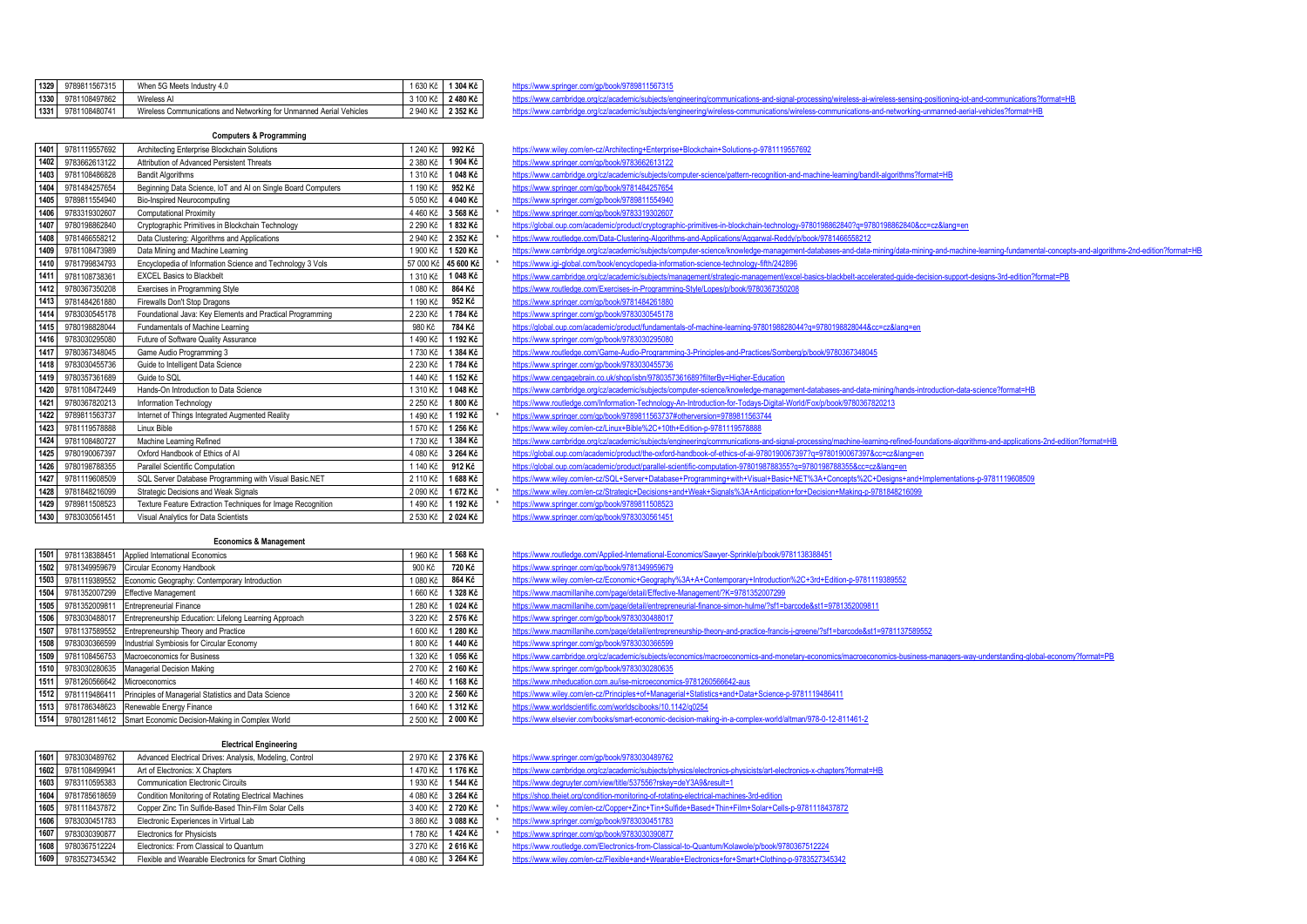| 1329 | 9789811567315 | When 5G Meets Industry 4.0                                          | 630 Kč     | 304 Kč   |  |
|------|---------------|---------------------------------------------------------------------|------------|----------|--|
| 1330 | 9781108497862 | Wireless AI                                                         | 3 100 Kč I | 2480 Kč  |  |
| 1331 | 9781108480741 | Wireless Communications and Networking for Unmanned Aerial Vehicles | 2 940 Kč   | 2 352 Kč |  |

## **Computers & Programming**

| 1401 | 9781119557692 | Architecting Enterprise Blockchain Solutions                 | 1 240 Kč  | 992 Kč    | https://www.wiley.com/en-cz/Architecting+Enterprise+Blockchain+Solutions-p-9781119557692                                      |
|------|---------------|--------------------------------------------------------------|-----------|-----------|-------------------------------------------------------------------------------------------------------------------------------|
| 1402 | 9783662613122 | Attribution of Advanced Persistent Threats                   | 2 380 Kč  | 1904 Kč   | https://www.springer.com/gp/book/9783662613122                                                                                |
| 1403 | 9781108486828 | <b>Bandit Algorithms</b>                                     | 1 310 Kč  | 1048 Kč   | https://www.cambridge.org/cz/academic/subjects/computer-science/pattern-recognition-and-machine-learning/bandit-algorithms?fo |
| 1404 | 9781484257654 | Beginning Data Science, IoT and AI on Single Board Computers | 1 190 Kč  | 952 Kč    | https://www.springer.com/gp/book/9781484257654                                                                                |
| 1405 | 9789811554940 | Bio-Inspired Neurocomputing                                  | 5 050 Kč  | 4 040 Kč  | https://www.springer.com/gp/book/9789811554940                                                                                |
| 1406 | 9783319302607 | <b>Computational Proximity</b>                               | 4 460 Kč  | 3 568 Kč  | https://www.springer.com/gp/book/9783319302607                                                                                |
| 1407 | 9780198862840 | Cryptographic Primitives in Blockchain Technology            | 2 290 Kč  | 1832 Kč   | https://global.oup.com/academic/product/cryptographic-primitives-in-blockchain-technology-9780198862840?q=9780198862840&c     |
| 1408 | 9781466558212 | Data Clustering: Algorithms and Applications                 | 2 940 Kč  | 2 352 Kč  | https://www.routledge.com/Data-Clustering-Algorithms-and-Applications/Aggarwal-Reddy/p/book/9781466558212                     |
| 1409 | 9781108473989 | Data Mining and Machine Learning                             | 1 900 Kč  | 1 520 Kč  | https://www.cambridge.org/cz/academic/subjects/computer-science/knowledge-management-databases-and-data-mining/data-min       |
| 1410 | 9781799834793 | Encyclopedia of Information Science and Technology 3 Vols    | 57 000 Kč | 45 600 Kč | https://www.iqi-qlobal.com/book/encyclopedia-information-science-technology-fifth/242896                                      |
| 1411 | 9781108738361 | <b>EXCEL Basics to Blackbelt</b>                             | 1 310 Kč  | 1048 Kč   | https://www.cambridge.org/cz/academic/subjects/management/strategic-management/excel-basics-blackbelt-accelerated-guide-de    |
| 1412 | 9780367350208 | Exercises in Programming Style                               | 1 080 Kč  | 864 Kč    | https://www.routledge.com/Exercises-in-Programming-Style/Lopes/p/book/9780367350208                                           |
| 1413 | 9781484261880 | Firewalls Don't Stop Dragons                                 | 1 190 Kč  | 952 Kč    | https://www.springer.com/gp/book/9781484261880                                                                                |
| 1414 | 9783030545178 | Foundational Java: Key Elements and Practical Programming    | 2 230 Kč  | 1784 Kč   | https://www.springer.com/gp/book/9783030545178                                                                                |
| 1415 | 9780198828044 | Fundamentals of Machine Learning                             | 980 Kč    | 784 Kč    | https://global.oup.com/academic/product/fundamentals-of-machine-learning-9780198828044?q=9780198828044&cc=cz⟨=er              |
| 1416 | 9783030295080 | Future of Software Quality Assurance                         | 1490 Kč   | 1 192 Kč  | https://www.springer.com/gp/book/9783030295080                                                                                |
| 1417 | 9780367348045 | Game Audio Programming 3                                     | 1730 Kč   | 1 384 Kč  | https://www.routledge.com/Game-Audio-Programming-3-Principles-and-Practices/Somberg/p/book/9780367348045                      |
| 1418 | 9783030455736 | Guide to Intelligent Data Science                            | 2 230 Kč  | 1784 Kč   | https://www.springer.com/gp/book/9783030455736                                                                                |
| 1419 | 9780357361689 | Guide to SQL                                                 | 1440 Kč   | 1 152 Kč  | https://www.cengagebrain.co.uk/shop/isbn/9780357361689?filterBy=Higher-Education                                              |
| 1420 | 9781108472449 | Hands-On Introduction to Data Science                        | 1 310 Kč  | 1048 Kč   | https://www.cambridge.org/cz/academic/subjects/computer-science/knowledge-management-databases-and-data-mining/hands-in       |
| 1421 | 9780367820213 | Information Technology                                       | 2 250 Kč  | 1800 Kč   | https://www.routledge.com/Information-Technology-An-Introduction-for-Todays-Digital-World/Fox/p/book/9780367820213            |
| 1422 | 9789811563737 | Internet of Things Integrated Augmented Reality              | 1490 Kč   | 1 192 Kč  | https://www.springer.com/gp/book/9789811563737#otherversion=9789811563744                                                     |
| 1423 | 9781119578888 | Linux Bible                                                  | 1 570 Kč  | 1 256 Kč  | https://www.wiley.com/en-cz/Linux+Bible%2C+10th+Edition-p-9781119578888                                                       |
| 1424 | 9781108480727 | Machine Learning Refined                                     | 1730 Kč   | 1 384 Kč  | https://www.cambridge.org/cz/academic/subjects/engineering/communications-and-signal-processing/machine-learning-refined-fou  |
| 1425 | 9780190067397 | Oxford Handbook of Ethics of Al                              | 4 080 Kč  | 3 264 Kč  | https://global.oup.com/academic/product/the-oxford-handbook-of-ethics-of-ai-9780190067397?q=9780190067397&cc=cz⟨=er           |
| 1426 | 9780198788355 | Parallel Scientific Computation                              | 1 140 Kč  | 912 Kč    | https://global.oup.com/academic/product/parallel-scientific-computation-97801987883557q=9780198788355&cc=cz⟨=en               |
| 1427 | 9781119608509 | SQL Server Database Programming with Visual Basic.NET        | 2 110 Kč  | 1688 Kč   | https://www.wiley.com/en-cz/SQL+Server+Database+Programming+with+Visual+Basic+NET%3A+Concepts%2C+Designs+and+                 |
| 1428 | 9781848216099 | Strategic Decisions and Weak Signals                         | 2 090 Kč  | 1672 Kč   | https://www.wiley.com/en-cz/Strategic+Decisions+and+Weak+Signals%3A+Anticipation+for+Decision+Making-p-9781848216099          |
| 1429 | 9789811508523 | Texture Feature Extraction Techniques for Image Recognition  | 1490 Kč   | 1 192 Kč  | https://www.springer.com/gp/book/9789811508523                                                                                |
| 1430 | 9783030561451 | Visual Analytics for Data Scientists                         | 2 530 Kč  | 2024 Kč   | https://www.springer.com/gp/book/9783030561451                                                                                |

#### 9789811567315 When 5G Meets Industry 4.0 1 630 Kč **1 304 Kč** <https://www.springer.com/gp/book/9789811567315>

https://www.cambridge.org/cz/academic/subjects/engineering/communications-and-signal-processing/wireless-aj-wireless-sensing-positioning-int-and-com

tos://www.cambridge.org/cz/academic/subjects/engineering/wireless-communications/wireless-communications-and-petworking-unmanned-aerial-vehicles?fr

| 1401 | 9781119557692 | Architecting Enterprise Blockchain Solutions                 | 1 240 Kč  | 992 Kč    | https://www.wiley.com/en-cz/Architecting+Enterprise+Blockchain+Solutions-p-9781119557692                                                                                                                  |
|------|---------------|--------------------------------------------------------------|-----------|-----------|-----------------------------------------------------------------------------------------------------------------------------------------------------------------------------------------------------------|
| 1402 | 9783662613122 | Attribution of Advanced Persistent Threats                   | 2 380 K   | 1904 Kč   | https://www.springer.com/gp/book/9783662613122                                                                                                                                                            |
| 1403 | 9781108486828 | <b>Bandit Algorithms</b>                                     | 1 310 Kč  | 1 048 Kč  | https://www.cambridge.org/cz/academic/subjects/computer-science/pattern-recognition-and-machine-learning/bandit-algorithms?format=HB                                                                      |
| 1404 | 9781484257654 | Beginning Data Science, IoT and AI on Single Board Computers | 1 190 K   | 952 Kč    | https://www.springer.com/gp/book/9781484257654                                                                                                                                                            |
| 1405 | 9789811554940 | <b>Bio-Inspired Neurocomputing</b>                           | 5 0 5 0 K | 4 040 Kč  | https://www.springer.com/gp/book/9789811554940                                                                                                                                                            |
|      | 9783319302607 | <b>Computational Proximity</b>                               | 4 460 K   | 3 568 Kč  | https://www.springer.com/gp/book/9783319302607                                                                                                                                                            |
| 1407 | 9780198862840 | Cryptographic Primitives in Blockchain Technology            | 2 290 Ki  | 1832 Kč   | https://global.oup.com/academic/product/cryptographic-primitives-in-blockchain-technology-9780198662840?q=9780198862840&cc=cz⟨=en                                                                         |
| 1408 | 9781466558212 | Data Clustering: Algorithms and Applications                 | 2 940 Kč  | 2 352 Kč  | https://www.routledge.com/Data-Clustering-Algorithms-and-Applications/Aggarwal-Reddy/p/book/9781466558212                                                                                                 |
| 1409 | 9781108473989 | Data Mining and Machine Learning                             | 1 900 K   | 1 520 Kč  | https://www.cambridge.org/cz/academic/subjects/computer-science/knowledge-management-databases-and-data-mining/data-mining-and-machine-learning-fundamental-concepts-and-algorithms-2nd-edition?format=HE |
| 1410 | 9781799834793 | Encyclopedia of Information Science and Technology 3 Vols    | 57 000    | 45 600 Kč | https://www.igi-global.com/book/encyclopedia-information-science-technology-fifth/242896                                                                                                                  |
| 1411 | 9781108738361 | <b>EXCEL Basics to Blackbelt</b>                             | 1310K     | 1 048 Kč  | https://www.cambridge.org/cz/academic/subjects/management/strategic-management/excel-basics-blackbelt-accelerated-quide-decision-support-designs-3rd-edition?format=PB                                    |
| 1412 | 9780367350208 | Exercises in Programming Style                               | 1080K     | 864 Kč    | https://www.routledge.com/Exercises-in-Programming-Style/Lopes/p/book/9780367350208                                                                                                                       |
| 1413 | 9781484261880 | Firewalls Don't Stop Dragons                                 | 1 190 K   | 952 Kč    | https://www.springer.com/gp/book/9781484261880                                                                                                                                                            |
| 1414 | 9783030545178 | Foundational Java: Key Elements and Practical Programming    | 2 230 K   | 1784 Kč   | https://www.springer.com/gp/book/9783030545178                                                                                                                                                            |
|      | 9780198828044 | Fundamentals of Machine Learning                             | 980 Kč    | 784 Kč    | https://global.oup.com/academic/product/fundamentals-of-machine-learning-9780198828044?q=9780198828044&cc=cz⟨=en                                                                                          |
| 1416 | 9783030295080 | Future of Software Quality Assurance                         | 1490K     | 1 192 Kč  | https://www.springer.com/gp/book/9783030295080                                                                                                                                                            |
| 1417 | 9780367348045 | Game Audio Programming 3                                     | 1730 Ki   | 1 384 Kč  | https://www.routledge.com/Game-Audio-Programming-3-Principles-and-Practices/Somberg/p/book/9780367348045                                                                                                  |
|      | 9783030455736 | Guide to Intelligent Data Science                            | 2 230 K   | 1784 Kč   | https://www.springer.com/gp/book/9783030455736                                                                                                                                                            |
| 1419 | 9780357361689 | Guide to SQL                                                 | 1440K     | 1152 Kč   | https://www.cengagebrain.co.uk/shop/isbn/9780357361689?filterBy=Higher-Education                                                                                                                          |
| 1420 | 9781108472449 | Hands-On Introduction to Data Science                        | 1 310 Ki  | 1 048 Kč  | https://www.cambridge.org/cz/academic/subjects/computer-science/knowledge-management-databases-and-data-mining/hands-introduction-data-science?format=HB                                                  |
| 1421 | 9780367820213 | Information Technology                                       | 2 250 Kč  | 1800 Kč   | https://www.routledge.com/Information-Technology-An-Introduction-for-Todays-Digital-World/Fox/p/book/9780367820213                                                                                        |
| 1422 | 9789811563737 | Internet of Things Integrated Augmented Reality              | 1 490 Kč  | 1 192 Kč  | https://www.springer.com/gp/book/9789811563737#otherversion=9789811563744                                                                                                                                 |
| 1423 | 9781119578888 | Linux Bible                                                  | 1 570 Ki  | 1 256 Kč  | https://www.wilev.com/en-cz/Linux+Bible%2C+10th+Edition-p-9781119578888                                                                                                                                   |
| 1424 | 9781108480727 | Machine Learning Refined                                     | 1730K     | 1 384 Kč  | https://www.cambridge.org/cz/academic/subjects/engineering/communications-and-signal-processing/machine-learning-refined-foundations-algorithms-and-applications-2nd-edition?format=HB                    |
| 1425 | 9780190067397 | Oxford Handbook of Ethics of Al                              | 4 080 K   | 3 264 Kč  | https://global.oup.com/academic/product/the-oxford-handbook-of-ethics-of-ai-9780190067397?q=9780190067397&cc=cz⟨=en                                                                                       |
| 1426 | 9780198788355 | Parallel Scientific Computation                              | 1140K     | 912 Kč    | https://global.oup.com/academic/product/parallel-scientific-computation-9780198788355?q=9780198788355&cc=cz⟨=en                                                                                           |
| 1427 | 9781119608509 | SQL Server Database Programming with Visual Basic.NET        | 2 110 K   | 1688 Kč   | https://www.wiley.com/en-cz/SQL+Server+Database+Programming+with+Visual+Basic+NET%3A+Concepts%2C+Designs+and+Implementations-p-9781119608509                                                              |
| 1428 | 9781848216099 | Strategic Decisions and Weak Signals                         | 2 090 Ki  | 1672 Kč   | https://www.wiley.com/en-cz/Strategic+Decisions+and+Weak+Signals%3A+Anticipation+for+Decision+Making-p-9781848216099                                                                                      |
| 1429 | 9789811508523 | Texture Feature Extraction Techniques for Image Recognition  | 1490 Kč   | 1 192 Kč  | https://www.springer.com/gp/book/9789811508523                                                                                                                                                            |
|      |               |                                                              |           |           |                                                                                                                                                                                                           |

#### **Economics & Management**

| 1501 |                              | 9781138388451 Applied International Economics                        | 960 Kč   | 1 568 Kč        | https://www.routledge.com/Applied-International-Economics/Sawyer-Sprinkle/p/book/9781138388451                         |
|------|------------------------------|----------------------------------------------------------------------|----------|-----------------|------------------------------------------------------------------------------------------------------------------------|
| 1502 |                              | 9781349959679 Circular Economy Handbook                              | 900 Kč   | 720 Kč          | https://www.springer.com/gp/book/9781349959679                                                                         |
| 1503 |                              | 9781119389552 Economic Geography: Contemporary Introduction          | 080 Kč   | 864 Kč          | https://www.wiley.com/en-cz/Economic+Geography%3A+A+Contemporary+Introduction%2C+3rd+Edition-p-9781119389552           |
| 1504 |                              | 9781352007299 Effective Management                                   | 660 Kč   | 1 328 Kč        | https://www.macmillanihe.com/page/detail/Effective-Management/?K=9781352007299                                         |
| 1505 |                              | 9781352009811 Entrepreneurial Finance                                | 280 Kč   | 1 024 Kč        | https://www.macmillanihe.com/page/detail/entrepreneurial-finance-simon-hulme/?sf1=barcode&st1=9781352009811            |
| 1506 |                              | 9783030488017 Entrepreneurship Education: Lifelong Learning Approach | 3 220 Kč | 2 576 Kč        | https://www.springer.com/gp/book/9783030488017                                                                         |
| 1507 |                              | 9781137589552 Entrepreneurship Theory and Practice                   | 1 600 Kč | 1 280 Kč        | https://www.macmillanihe.com/paqe/detail/entrepreneurship-theory-and-practice-francis-j-greene/?sf1=barcode&st1=978113 |
| 1508 |                              | 9783030366599 Industrial Symbiosis for Circular Economy              | 800 Kč   | 1440 Kč         | https://www.springer.com/gp/book/9783030366599                                                                         |
| 1509 |                              | 9781108456753 Macroeconomics for Business                            | 320 Kč   | 1 056 Kč        | https://www.cambridge.org/cz/academic/subjects/economics/macroeconomics-and-monetary-economics/macroeconomics-b        |
| 1510 |                              | 9783030280635 Managerial Decision Making                             | 2700 Kč  | 2 160 Kč        | https://www.springer.com/gp/book/9783030280635                                                                         |
| 1511 | 9781260566642 Microeconomics |                                                                      | 460 Kč   | 1 168 Kč        | https://www.mheducation.com.au/ise-microeconomics-9781260566642-aus                                                    |
| 1512 |                              | 9781119486411 Principles of Managerial Statistics and Data Science   | 3 200 Kč | 2 560 Kč        | https://www.wiley.com/en-cz/Principles+of+Managerial+Statistics+and+Data+Science-p-9781119486411                       |
| 1513 |                              | 9781786348623 Renewable Energy Finance                               | 1640 Kč  | 1 312 Kč        | https://www.worldscientific.com/worldscibooks/10.1142/q0254                                                            |
|      |                              | 1514 9780128114612 Smart Economic Decision-Making in Complex World   |          | 2500 Kč 2000 Kč | https://www.elsevier.com/books/smart-economic-decision-making-in-a-complex-world/altman/978-0-12-811461-2              |

#### **Electrical Engineering**

| 1601 | 9783030489762 | Advanced Electrical Drives: Analysis, Modeling, Control | 2 970 Kč | 2 376 Kč |
|------|---------------|---------------------------------------------------------|----------|----------|
| 1602 | 9781108499941 | Art of Electronics: X Chapters                          | 1470 Kč  | 1 176 Kč |
| 1603 | 9783110595383 | <b>Communication Electronic Circuits</b>                | 1930 Kč  | 1 544 Kč |
| 1604 | 9781785618659 | Condition Monitoring of Rotating Electrical Machines    | 4 080 Kč | 3 264 Kč |
| 1605 | 9781118437872 | Copper Zinc Tin Sulfide-Based Thin-Film Solar Cells     | 3 400 Kč | 2720 Kč  |
| 1606 | 9783030451783 | Electronic Experiences in Virtual Lab                   | 3 860 Kč | 3 088 Kč |
| 1607 | 9783030390877 | <b>Electronics for Physicists</b>                       | 1780 Kč  | 1424 Kč  |
| 1608 | 9780367512224 | Electronics: From Classical to Quantum                  | 3 270 Kč | 2616 Kč  |
| 1609 | 9783527345342 | Flexible and Wearable Electronics for Smart Clothing    | 4 080 Kč | 3 264 Kč |

## <https://www.macmillanihe.com/page/detail/Effective-Management/?K=9781352007299> <https://www.macmillanihe.com/page/detail/entrepreneurial-finance-simon-hulme/?sf1=barcode&st1=9781352009811> <https://www.springer.com/gp/book/9783030488017> <https://www.macmillanihe.com/page/detail/entrepreneurship-theory-and-practice-francis-j-greene/?sf1=barcode&st1=9781137589552> 9783030366599 Industrial Symbiosis for Circular Economy 1 800 Kč **1 440 Kč** <https://www.springer.com/gp/book/9783030366599> <https://www.cambridge.org/cz/academic/subjects/economics/macroeconomics-and-monetary-economics/macroeconomics-business-managers-way-understanding-global-economy?format=PB> 9783030280635 Managerial Decision Making 2 700 Kč **2 160 Kč** <https://www.springer.com/gp/book/9783030280635> 11<br><https://www.mheducation.com.au/ise-microeconomics-9781260566642-aus> 9781119486411 Principles of Managerial Statistics and Data Science 3 200 Kč **2 560 Kč** <https://www.wiley.com/en-cz/Principles+of+Managerial+Statistics+and+Data+Science-p-9781119486411> 9781786348623 Renewable Energy Finance 1 640 Kč **1 312 Kč** <https://www.worldscientific.com/worldscibooks/10.1142/q0254> <https://www.elsevier.com/books/smart-economic-decision-making-in-a-complex-world/altman/978-0-12-811461-2>

### <https://www.springer.com/gp/book/9783030489762>

- 9781108499941 Art of Electronics: X Chapters 1 470 Kč **1 176 Kč** <https://www.cambridge.org/cz/academic/subjects/physics/electronics-physicists/art-electronics-x-chapters?format=HB>
- 9783110595383 Communication Electronic Circuits 1 930 Kč **1 544 Kč** <https://www.degruyter.com/view/title/537556?rskey=deY3A9&result=1>
- <https://shop.theiet.org/condition-monitoring-of-rotating-electrical-machines-3rd-edition>
- <sup>\*</sup> <https://www.wiley.com/en-cz/Copper+Zinc+Tin+Sulfide+Based+Thin+Film+Solar+Cells-p-9781118437872>

<https://www.routledge.com/Applied-International-Economics/Sawyer-Sprinkle/p/book/9781138388451>

- \* <https://www.springer.com/gp/book/9783030451783><br>\* https://www.springer.com/gp/book/9783030451783
- 9783030390877 Electronics for Physicists 1 780 Kč **1 424 Kč** \* <https://www.springer.com/gp/book/9783030390877>
- 
- 9780367512224 Electronics: From Classical to Quantum 3 270 Kč **2 616 Kč** <https://www.routledge.com/Electronics-from-Classical-to-Quantum/Kolawole/p/book/9780367512224>

9783527345342 Flexible and Wearable Electronics for Smart Clothing 4 080 Kč **3 264 Kč** <https://www.wiley.com/en-cz/Flexible+and+Wearable+Electronics+for+Smart+Clothing-p-9783527345342>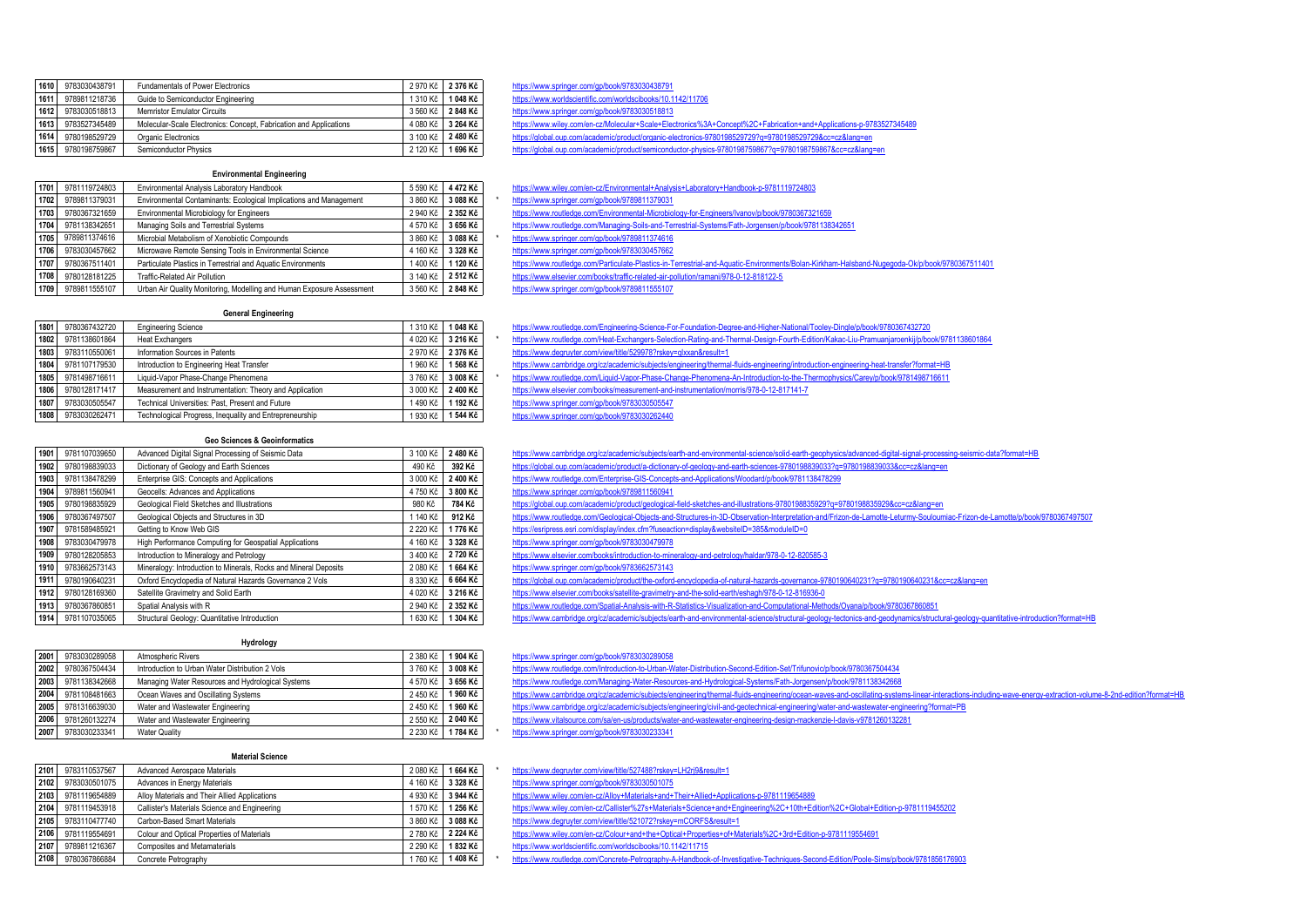| 1610 | 9783030438791 | <b>Fundamentals of Power Electronics</b>                           | 2 970 Kč   | 2 376 Kč |
|------|---------------|--------------------------------------------------------------------|------------|----------|
| 1611 | 9789811218736 | 1 310 Kč<br>Guide to Semiconductor Engineering                     |            | 1048 Kč  |
| 1612 | 9783030518813 | <b>Memristor Emulator Circuits</b>                                 | 3 560 Kč   | 2848 Kč  |
| 1613 | 9783527345489 | Molecular-Scale Electronics: Concept, Fabrication and Applications | 4 080 Kč   | 3 264 Kč |
| 1614 | 9780198529729 | Organic Electronics                                                | 3 100 Kč   | 2480 Kč  |
| 1615 | 9780198759867 | Semiconductor Physics                                              | 2 120 Kč I | 1 696 Kč |

## **Environmental Engineering**

| 1701 | 9781119724803                                             | 5 590 Kč<br>Environmental Analysis Laboratory Handbook                |          | 4 472 Kč |
|------|-----------------------------------------------------------|-----------------------------------------------------------------------|----------|----------|
| 1702 | 9789811379031                                             | Environmental Contaminants: Ecological Implications and Management    | 3 860 Kč | 3 088 Kč |
| 1703 | 9780367321659<br>Environmental Microbiology for Engineers |                                                                       | 2 940 Kč | 2 352 Kč |
| 1704 | 9781138342651                                             | Managing Soils and Terrestrial Systems                                | 4 570 Kč | 3 656 Kč |
| 1705 | 9789811374616                                             | Microbial Metabolism of Xenobiotic Compounds                          | 3 860 Kč | 3 088 Kč |
| 1706 | 9783030457662                                             | Microwave Remote Sensing Tools in Environmental Science               | 4 160 Kč | 3 328 Kč |
| 1707 | 9780367511401                                             | Particulate Plastics in Terrestrial and Aquatic Environments          | 1400 Kč  | 1 120 Kč |
| 1708 | 9780128181225                                             | <b>Traffic-Related Air Pollution</b>                                  | 3 140 Kč | 2 512 Kč |
| 1709 | 9789811555107                                             | Urban Air Quality Monitoring, Modelling and Human Exposure Assessment | 3.560 Kč | 2 848 Kč |

**1610** 9783030438791 Fundamentals of Power Electronics 2 970 Kč **2 376 Kč** <https://www.springer.com/gp/book/9783030438791>

**1611** 9789811218736 Guide to Semiconductor Engineering 1 310 Kč **1 048 Kč** <https://www.worldscientific.com/worldscibooks/10.1142/11706>

**1612** 9783030518813 Memristor Emulator Circuits 3 560 Kč **2 848 Kč** <https://www.springer.com/gp/book/9783030518813>

- <https://www.wiley.com/en-cz/Molecular+Scale+Electronics%3A+Concept%2C+Fabrication+and+Applications-p-9783527345489>
- **1614** 9780198529729 Organic Electronics 3 100 Kč **2 480 Kč** <https://global.oup.com/academic/product/organic-electronics-9780198529729?q=9780198529729&cc=cz&lang=en>
- **1615** 9780198759867 Semiconductor Physics 2 120 Kč **1 696 Kč** <https://global.oup.com/academic/product/semiconductor-physics-9780198759867?q=9780198759867&cc=cz&lang=en>

<https://www.wiley.com/en-cz/Environmental+Analysis+Laboratory+Handbook-p-9781119724803>

- **1702** 9789811379031 Environmental Contaminants: Ecological Implications and Management 3 860 Kč **3 088 Kč** \* <https://www.springer.com/gp/book/9789811379031>
- <https://www.routledge.com/Environmental-Microbiology-for-Engineers/Ivanov/p/book/9780367321659>
- **1704** 9781138342651 Managing Soils and Terrestrial Systems 4 570 Kč **3 656 Kč** <https://www.routledge.com/Managing-Soils-and-Terrestrial-Systems/Fath-Jorgensen/p/book/9781138342651>
- **1705** 9789811374616 Microbial Metabolism of Xenobiotic Compounds 3 860 Kč **3 088 Kč** \* <https://www.springer.com/gp/book/9789811374616>
- <https://www.springer.com/gp/book/9783030457662>
- 
- **1707** 9780367511401 Particulate Plastics in Terrestrial and Aquatic Environments 1 400 Kč **1 120 Kč** <https://www.routledge.com/Particulate-Plastics-in-Terrestrial-and-Aquatic-Environments/Bolan-Kirkham-Halsband-Nugegoda-Ok/p/book/9780367511401>
- **1708** 9780128181225 Traffic-Related Air Pollution 3 140 Kč **2 512 Kč** <https://www.elsevier.com/books/traffic-related-air-pollution/ramani/978-0-12-818122-5>
- 1**11**<br><https://www.springer.com/gp/book/9789811555107>

**General Engineering** 

| 1801 | 9780367432720 | <b>Engineering Science</b>                              | 1310 Kč  | 1 048 Kč |
|------|---------------|---------------------------------------------------------|----------|----------|
| 1802 | 9781138601864 | <b>Heat Exchangers</b>                                  | 4 020 Kč | 3 216 Kč |
| 1803 | 9783110550061 | Information Sources in Patents                          | 2 970 Kč | 2 376 Kč |
| 1804 | 9781107179530 | Introduction to Engineering Heat Transfer               | 960 Kč   | 568 Kč   |
| 1805 | 9781498716611 | Liquid-Vapor Phase-Change Phenomena                     | 3760 Kč  | 3 008 Kč |
| 1806 | 9780128171417 | Measurement and Instrumentation: Theory and Application | 3 000 Kč | 2 400 Kč |
| 1807 | 9783030505547 | Technical Universities: Past, Present and Future        | 1490 Kč  | 1 192 Kč |
| 1808 | 9783030262471 | Technological Progress, Inequality and Entrepreneurship | 930 Kč   | 544 Kč   |

#### **Geo Sciences & Geoinformatics**

| 1901 | 9781107039650 | Advanced Digital Signal Processing of Seismic Data               | 3 100 Kč   | 2 480 Kč |
|------|---------------|------------------------------------------------------------------|------------|----------|
| 1902 | 9780198839033 | Dictionary of Geology and Earth Sciences                         | 490 Kč     | 392 Kč   |
| 1903 | 9781138478299 | Enterprise GIS: Concepts and Applications                        | 3 000 Kč   | 2 400 Kč |
| 1904 | 9789811560941 | Geocells: Advances and Applications                              | 4 750 Kč   | 3 800 Kč |
| 1905 | 9780198835929 | Geological Field Sketches and Illustrations                      | 980 Kč     | 784 Kč   |
| 1906 | 9780367497507 | Geological Objects and Structures in 3D                          | 1 140 Kč   | 912 Kč   |
| 1907 | 9781589485921 | Getting to Know Web GIS                                          | 2 220 Kč   | 1776 Kč  |
| 1908 | 9783030479978 | High Performance Computing for Geospatial Applications           | 4 160 Kč   | 3 328 Kč |
| 1909 | 9780128205853 | Introduction to Mineralogy and Petrology                         | 3 400 Kč   | 2720 Kč  |
| 1910 | 9783662573143 | Mineralogy: Introduction to Minerals, Rocks and Mineral Deposits | 2 080 Kč   | 1664 Kč  |
| 1911 | 9780190640231 | Oxford Encyclopedia of Natural Hazards Governance 2 Vols         | 8 330 Kč   | 6 664 Kč |
| 1912 | 9780128169360 | Satellite Gravimetry and Solid Earth                             | 4 020 Kč   | 3 216 Kč |
| 1913 | 9780367860851 | Spatial Analysis with R                                          | 2 940 Kč   | 2 352 Kč |
| 1014 | 0791107035065 | Ctruntural Coology: Quantitative Introduction                    | 1.630 $K2$ | 1 304 Kč |

#### **Hydrology**

| 2001 | 9783030289058 | Atmospheric Rivers                                | 2 380 Kč | 1904 Kč  |
|------|---------------|---------------------------------------------------|----------|----------|
| 2002 | 9780367504434 | Introduction to Urban Water Distribution 2 Vols   | 3760 Kč  | 3 008 Kč |
| 2003 | 9781138342668 | Managing Water Resources and Hydrological Systems | 4 570 Kč | 3 656 Kč |
| 2004 | 9781108481663 | Ocean Waves and Oscillating Systems               | 2 450 Kč | 1960 Kč  |
| 2005 | 9781316639030 | Water and Wastewater Engineering                  | 2 450 Kč | 1960 Kč  |
| 2006 | 9781260132274 | Water and Wastewater Engineering                  | 2 550 Kč | 2 040 Kč |
| 2007 | 9783030233341 | <b>Water Quality</b>                              | 2 230 Kč | 1784 Kč  |

#### **Material Science**

| 2101 | 9783110537567                                                  | 2 080 Kč<br>Advanced Aerospace Materials      |          | 1664 Kč  |
|------|----------------------------------------------------------------|-----------------------------------------------|----------|----------|
| 2102 | 9783030501075                                                  | 4 160 Kč<br>Advances in Energy Materials      |          | 3 328 Kč |
| 2103 | 9781119654889<br>Alloy Materials and Their Allied Applications |                                               | 4 930 Kč | 3 944 Kč |
| 2104 | 9781119453918                                                  | Callister's Materials Science and Engineering | 570 Kč   | 1 256 Kč |
| 2105 | 9783110477740                                                  | Carbon-Based Smart Materials                  | 3 860 Kč | 3 088 Kč |
| 2106 | 9781119554691                                                  | Colour and Optical Properties of Materials    | 2780 Kč  | 2 224 Kč |
| 2107 | 9789811216367                                                  | Composites and Metamaterials                  | 2 290 Kč | 1832 Kč  |
| 2108 | 9780367866884                                                  | Concrete Petrography                          | 1760 Kč  | 1408 Kč  |

- <https://www.routledge.com/Engineering-Science-For-Foundation-Degree-and-Higher-National/Tooley-Dingle/p/book/9780367432720>
- **1802** 9781138601864 Heat Exchangers 4 020 Kč **3 216 Kč** \* <https://www.routledge.com/Heat-Exchangers-Selection-Rating-and-Thermal-Design-Fourth-Edition/Kakac-Liu-Pramuanjaroenkij/p/book/9781138601864> **1803** 9783110550061 Information Sources in Patents 2 970 Kč **2 376 Kč** <https://www.degruyter.com/view/title/529978?rskey=qlxxan&result=1>
- <https://www.cambridge.org/cz/academic/subjects/engineering/thermal-fluids-engineering/introduction-engineering-heat-transfer?format=HB>
- <https://www.routledge.com/Liquid-Vapor-Phase-Change-Phenomena-An-Introduction-to-the-Thermophysics/Carey/p/book/9781498716611>
- **1806** 9780128171417 Measurement and Instrumentation: Theory and Application 3 000 Kč **2 400 Kč** <https://www.elsevier.com/books/measurement-and-instrumentation/morris/978-0-12-817141-7>
- **1807** 9783030505547 Technical Universities: Past, Present and Future 1 490 Kč **1 192 Kč** <https://www.springer.com/gp/book/9783030505547>
- **1808** 9783030262471 Technological Progress, Inequality and Entrepreneurship 1 930 Kč **1 544 Kč** <https://www.springer.com/gp/book/9783030262440>
- <https://www.cambridge.org/cz/academic/subjects/earth-and-environmental-science/solid-earth-geophysics/advanced-digital-signal-processing-seismic-data?format=HB>
- **1902** 9780198839033 Dictionary of Geology and Earth Sciences 490 Kč **392 Kč** <https://global.oup.com/academic/product/a-dictionary-of-geology-and-earth-sciences-9780198839033?q=9780198839033&cc=cz&lang=en>
- **1903** 9781138478299 Enterprise GIS: Concepts and Applications 3 000 Kč **2 400 Kč** <https://www.routledge.com/Enterprise-GIS-Concepts-and-Applications/Woodard/p/book/9781138478299>
- **1904** 9789811560941 Geocells: Advances and Applications 4 750 Kč **3 800 Kč** <https://www.springer.com/gp/book/9789811560941>
- **1905** 9780198835929 Geological Field Sketches and Illustrations 980 Kč **784 Kč** <https://global.oup.com/academic/product/geological-field-sketches-and-illustrations-9780198835929?q=9780198835929&cc=cz&lang=en>
- https://www.routledge.com/Geological-Objects-and-Structures-in-3D-Observation-Interpretation-and/Frizon-de-Lamotte-Leturmy-Souloumiac-Frizon-de-Lamotte/brook/9780367497507
- **1907** 9781589485921 Getting to Know Web GIS 2 220 Kč **1 776 Kč** <https://esripress.esri.com/display/index.cfm?fuseaction=display&websiteID=385&moduleID=0>
- <https://www.springer.com/gp/book/9783030479978>
- **1909** 9780128205853 Introduction to Mineralogy and Petrology 3 400 Kč **2 720 Kč** <https://www.elsevier.com/books/introduction-to-mineralogy-and-petrology/haldar/978-0-12-820585-3>
- <https://www.springer.com/gp/book/9783662573143>
- https://global.oup.com/academic/product/the-oxford-encyclopedia-of-natural-hazards-governance-97801906402317g=9780190640231&cc=cz&lang=en
- <https://www.elsevier.com/books/satellite-gravimetry-and-the-solid-earth/eshagh/978-0-12-816936-0>
- <https://www.routledge.com/Spatial-Analysis-with-R-Statistics-Visualization-and-Computational-Methods/Oyana/p/book/9780367860851>
- 1630 K6 1630 K6 1630 K6 1630 K6 1630 K6 1630 K6 1630 K6 1630 K6 1630 K6 1630 K6 1630 K6 1630 K6 1630 K6 1630 K6 1630 K6 1630 K6 1640 Kg C2/academic/subjects/earth-and-environmental-science/structural-geology-tectonics-and-
	- **2001** 9783030289058 Atmospheric Rivers 2 380 Kč **1 904 Kč** <https://www.springer.com/gp/book/9783030289058>
	- **2002** 9780367504434 Introduction to Urban Water Distribution 2 Vols 3 760 Kč **3 008 Kč** <https://www.routledge.com/Introduction-to-Urban-Water-Distribution-Second-Edition-Set/Trifunovic/p/book/9780367504434>
	- **2003** 9781138342668 Managing Water Resources and Hydrological Systems 4 570 Kč **3 656 Kč** <https://www.routledge.com/Managing-Water-Resources-and-Hydrological-Systems/Fath-Jorgensen/p/book/9781138342668>
	- https://www.cambridge.org/cz/academic/subiects/engineering/thermal-fluids-engineering/ccean-waves-and-oscillating-systems-linear-interactions-including-wave-energy-extraction-volume-8-2nd-edition?format=HB
	- **2005** 9781316639030 Water and Wastewater Engineering 2 450 Kč **1 960 Kč** <https://www.cambridge.org/cz/academic/subjects/engineering/civil-and-geotechnical-engineering/water-and-wastewater-engineering?format=PB>
	- **2006** 9781260132274 Water and Wastewater Engineering 2 550 Kč **2 040 Kč** <https://www.vitalsource.com/sa/en-us/products/water-and-wastewater-engineering-design-mackenzie-l-davis-v9781260132281>
	- **2007** 9783030233341 Water Quality 2 230 Kč **1 784 Kč** \* <https://www.springer.com/gp/book/9783030233341>
	-
	- **2101** 9783110537567 Advanced Aerospace Materials 2 080 Kč **1 664 Kč** \* <https://www.degruyter.com/view/title/527488?rskey=LH2rj9&result=1>
		- **2102** 9783030501075 Advances in Energy Materials 4 160 Kč **3 328 Kč** <https://www.springer.com/gp/book/9783030501075>
		- 1223<br>
		21119654889 <https://www.wiley.com/en-cz/Alloy+Materials+and+Their+Allied+Applications-p-9781119654889>
	- <https://www.wiley.com/en-cz/Callister%27s+Materials+Science+and+Engineering%2C+10th+Edition%2C+Global+Edition-p-9781119455202>
	- **2105** 9783110477740 Carbon-Based Smart Materials 3 860 Kč **3 088 Kč** <https://www.degruyter.com/view/title/521072?rskey=mCORFS&result=1>
	- nttps://www.wiley.com/en-cz/Colour+and+the+Optical+Properties+of+Materials%2C+3rd+Edition-p-9781119554691
	- **2107** 9789811216367 Composites and Metamaterials 2 290 Kč **1 832 Kč** <https://www.worldscientific.com/worldscibooks/10.1142/11715>
	- **2108** 9780367866884 Concrete Petrography 1 760 Kč **1 408 Kč** \* <https://www.routledge.com/Concrete-Petrography-A-Handbook-of-Investigative-Techniques-Second-Edition/Poole-Sims/p/book/9781856176903>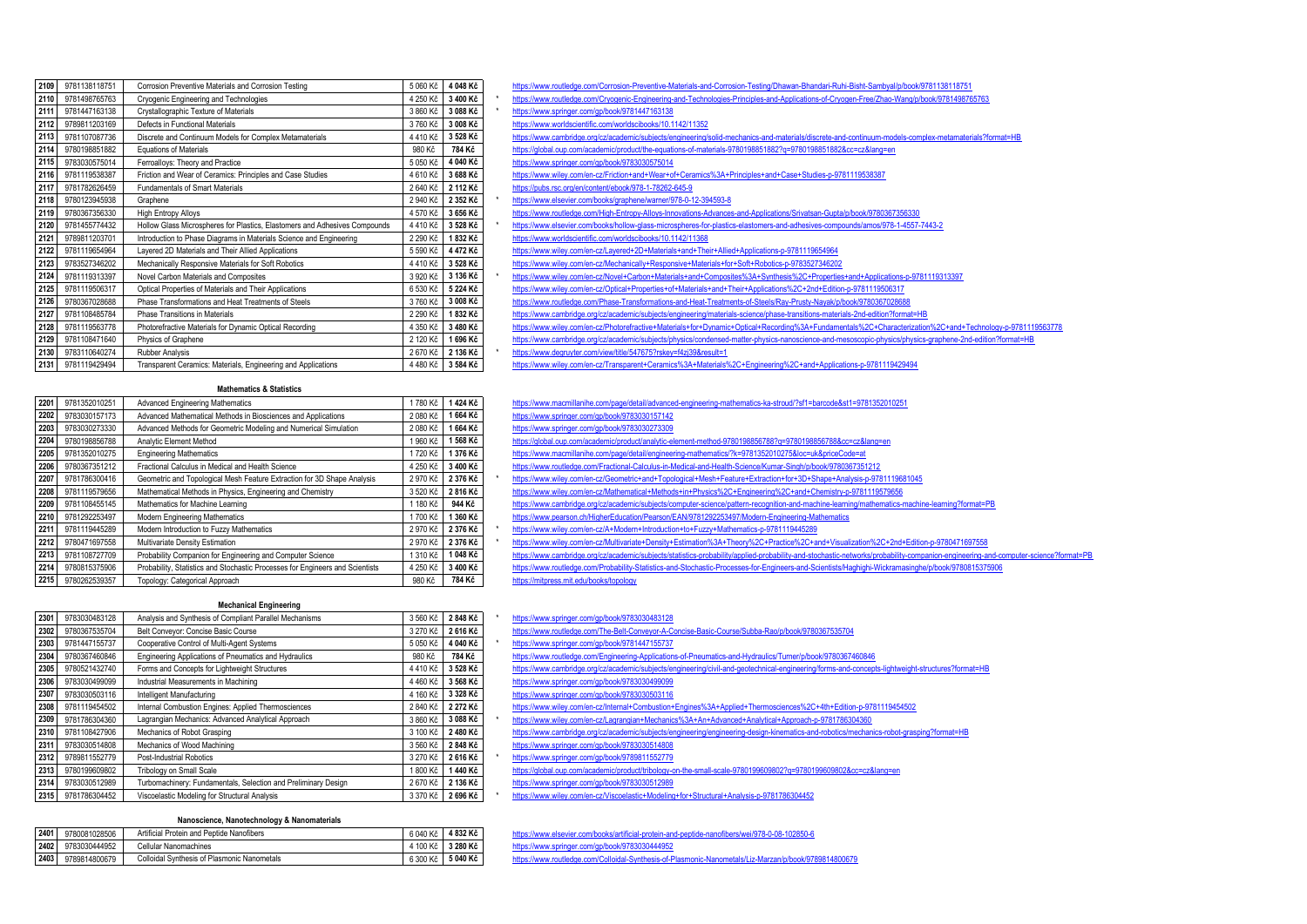| 2109 | 9781138118751 | Corrosion Preventive Materials and Corrosion Testing                       | 5 060 Kč | 4 048 Kč | https://www.routledge.com/Corrosion-Preventive-Materials-and-Corrosion-Testing/Dhawan-Bhandari-Ruhi-Bisht-Sambyal/p/book/97811   |
|------|---------------|----------------------------------------------------------------------------|----------|----------|----------------------------------------------------------------------------------------------------------------------------------|
| 2110 | 9781498765763 | Cryogenic Engineering and Technologies                                     | 4 250 Kč | 3 400 Kč | https://www.routledge.com/Cryogenic-Engineering-and-Technologies-Principles-and-Applications-of-Cryogen-Free/Zhao-Wang/p/book/9  |
| 2111 | 9781447163138 | Crystallographic Texture of Materials                                      | 3 860 Kč | 3 088 Kč | https://www.springer.com/gp/book/9781447163138                                                                                   |
| 2112 | 9789811203169 | Defects in Functional Materials                                            | 3760 Kč  | 3 008 Kč | https://www.worldscientific.com/worldscibooks/10.1142/11352                                                                      |
| 2113 | 9781107087736 | Discrete and Continuum Models for Complex Metamaterials                    | 4 410 Kč | 3 528 Kč | https://www.cambridge.org/cz/academic/subjects/engineering/solid-mechanics-and-materials/discrete-and-continuum-models-complex-n |
| 2114 | 9780198851882 | <b>Equations of Materials</b>                                              | 980 Kč   | 784 Kč   | https://global.oup.com/academic/product/the-equations-of-materials-9780198851882?q=9780198851882&cc=cz⟨=en                       |
| 2115 | 9783030575014 | Ferroalloys: Theory and Practice                                           | 5 050 Kč | 4 040 Kč | https://www.springer.com/gp/book/9783030575014                                                                                   |
| 2116 | 9781119538387 | Friction and Wear of Ceramics: Principles and Case Studies                 | 4 610 Kč | 3 688 Kč | https://www.wiley.com/en-cz/Friction+and+Wear+of+Ceramics%3A+Principles+and+Case+Studies-p-9781119538387                         |
| 2117 | 9781782626459 | Fundamentals of Smart Materials                                            | 2 640 Kč | 2 112 Kč | https://pubs.rsc.org/en/content/ebook/978-1-78262-645-9                                                                          |
| 2118 | 9780123945938 | Graphene                                                                   | 2 940 Kč | 2 352 Kč | https://www.elsevier.com/books/graphene/warner/978-0-12-394593-8                                                                 |
| 2119 | 9780367356330 | High Entropy Alloys                                                        | 4 570 Kč | 3 656 Kč | https://www.routledge.com/High-Entropy-Alloys-Innovations-Advances-and-Applications/Srivatsan-Gupta/p/book/9780367356330         |
| 2120 | 9781455774432 | Hollow Glass Microspheres for Plastics, Elastomers and Adhesives Compounds | 4 410 Kč | 3 528 Kč | https://www.elsevier.com/books/hollow-glass-microspheres-for-plastics-elastomers-and-adhesives-compounds/amos/978-1-4557-7443-2  |
| 2121 | 9789811203701 | Introduction to Phase Diagrams in Materials Science and Engineering        | 2 290 Kč | 1832 Kč  | https://www.worldscientific.com/worldscibooks/10.1142/11368                                                                      |
| 2122 | 9781119654964 | Layered 2D Materials and Their Allied Applications                         | 5 590 Kč | 4 472 Kč | https://www.wiley.com/en-cz/Layered+2D+Materials+and+Their+Allied+Applications-p-9781119654964                                   |
| 2123 | 9783527346202 | Mechanically Responsive Materials for Soft Robotics                        | 4410 Kč  | 3 528 Kč | https://www.wiley.com/en-cz/Mechanically+Responsive+Materials+for+Soft+Robotics-p-9783527346202                                  |
| 2124 | 9781119313397 | Novel Carbon Materials and Composites                                      | 3 920 Kč | 3 136 Kč | https://www.wiley.com/en-cz/Novel+Carbon+Materials+and+Composites%3A+Synthesis%2C+Properties+and+Applications-p-97811193         |
| 2125 | 9781119506317 | Optical Properties of Materials and Their Applications                     | 6 530 Kč | 5 224 Kč | https://www.wiley.com/en-cz/Optical+Properties+of+Materials+and+Their+Applications%2C+2nd+Edition-p-9781119506317                |
| 2126 | 9780367028688 | Phase Transformations and Heat Treatments of Steels                        | 3760 Kč  | 3 008 Kč | https://www.routledge.com/Phase-Transformations-and-Heat-Treatments-of-Steels/Ray-Prusty-Nayak/p/book/9780367028688              |
| 2127 | 9781108485784 | Phase Transitions in Materials                                             | 2 290 Kč | 1832 Kč  | https://www.cambridge.org/cz/academic/subjects/engineering/materials-science/phase-transitions-materials-2nd-edition?format=HB   |
| 2128 | 9781119563778 | Photorefractive Materials for Dynamic Optical Recording                    | 4 350 Kč | 3 480 Kč | https://www.wiley.com/en-cz/Photorefractive+Materials+for+Dynamic+Optical+Recording%3A+Fundamentals%2C+Characterization%2        |
| 2129 | 9781108471640 | Physics of Graphene                                                        | 2 120 Kč | 1 696 Kč | https://www.cambridge.org/cz/academic/subjects/physics/condensed-matter-physics-nanoscience-and-mesoscopic-physics/physics-grap  |
| 2130 | 9783110640274 | <b>Rubber Analysis</b>                                                     | 2670 Kč  | 2 136 Kč | https://www.degruyter.com/view/title/547675?rskey=f4zj39&result=1                                                                |
| 2131 | 9781119429494 | Transparent Ceramics: Materials, Engineering and Applications              | 4 480 Kč | 3 584 Kč | https://www.wiley.com/en-cz/Transparent+Ceramics%3A+Materials%2C+Engineering%2C+and+Applications-p-9781119429494                 |

#### **Mathematics & Statistics**

| 2201 | 9781352010251 | <b>Advanced Engineering Mathematics</b><br>1780 Kč                            |          | 1424 Kč  |
|------|---------------|-------------------------------------------------------------------------------|----------|----------|
| 2202 | 9783030157173 | Advanced Mathematical Methods in Biosciences and Applications                 | 2 080 Kč | 1664 Kč  |
| 2203 | 9783030273330 | Advanced Methods for Geometric Modeling and Numerical Simulation              | 2 080 Kč | 1664 Kč  |
| 2204 | 9780198856788 | Analytic Element Method                                                       | 1 960 Kč | 1 568 Kč |
| 2205 | 9781352010275 | <b>Engineering Mathematics</b>                                                | 1720 Kč  | 1376 Kč  |
| 2206 | 9780367351212 | Fractional Calculus in Medical and Health Science                             | 4 250 Kč | 3 400 Kč |
| 2207 | 9781786300416 | Geometric and Topological Mesh Feature Extraction for 3D Shape Analysis       | 2 970 Kč | 2 376 Kč |
| 2208 | 9781119579656 | Mathematical Methods in Physics, Engineering and Chemistry                    | 3 520 Kč | 2816 Kč  |
| 2209 | 9781108455145 | Mathematics for Machine Learning                                              | 1 180 Kč | 944 Kč   |
| 2210 | 9781292253497 | Modern Engineering Mathematics                                                | 1700 Kč  | 1 360 Kč |
| 2211 | 9781119445289 | Modern Introduction to Fuzzy Mathematics                                      | 2 970 Kč | 2 376 Kč |
| 2212 | 9780471697558 | Multivariate Density Estimation                                               | 2 970 Kč | 2 376 Kč |
| 2213 | 9781108727709 | Probability Companion for Engineering and Computer Science                    | 1 310 Kč | 1048 Kč  |
| 2214 | 9780815375906 | Probability, Statistics and Stochastic Processes for Engineers and Scientists | 4 250 Kč | 3 400 Kč |
| 2215 | 9780262539357 | Topology: Categorical Approach                                                | 980 Kč   | 784 Kč   |

#### **Mechanical Engineering**

| 2301 | 9783030483128 | Analysis and Synthesis of Compliant Parallel Mechanisms        | 3 560 Kč | 2848 Kč  |
|------|---------------|----------------------------------------------------------------|----------|----------|
| 2302 | 9780367535704 | Belt Conveyor: Concise Basic Course                            | 3 270 Kč | 2 616 Kč |
| 2303 | 9781447155737 | Cooperative Control of Multi-Agent Systems                     | 5 050 Kč | 4 040 Kč |
| 2304 | 9780367460846 | Engineering Applications of Pneumatics and Hydraulics          | 980 Kč   | 784 Kč   |
| 2305 | 9780521432740 | Forms and Concepts for Lightweight Structures                  | 4410 Kč  | 3 528 Kč |
| 2306 | 9783030499099 | Industrial Measurements in Machining                           | 4 460 Kč | 3 568 Kč |
| 2307 | 9783030503116 | Intelligent Manufacturing                                      | 4 160 Kč | 3 328 Kč |
| 2308 | 9781119454502 | Internal Combustion Engines: Applied Thermosciences            | 2 840 Kč | 2 272 Kč |
| 2309 | 9781786304360 | Lagrangian Mechanics: Advanced Analytical Approach             | 3 860 Kč | 3 088 Kč |
| 2310 | 9781108427906 | Mechanics of Robot Grasping                                    | 3 100 Kč | 2 480 Kč |
| 2311 | 9783030514808 | Mechanics of Wood Machining                                    | 3 560 Kč | 2848 Kč  |
| 2312 | 9789811552779 | Post-Industrial Robotics                                       | 3 270 Kč | 2 616 Kč |
| 2313 | 9780199609802 | <b>Tribology on Small Scale</b>                                | 1800 Kč  | 1440 Kč  |
| 2314 | 9783030512989 | Turbomachinery: Fundamentals, Selection and Preliminary Design | 2670 Kč  | 2 136 Kč |
| 2315 | 9781786304452 | Viscoelastic Modeling for Structural Analysis                  | 3 370 Kč | 2 696 Kč |

## **Nanoscience, Nanotechnology & Nanomaterials**

| 2402 | 9783030444952 | Cellular Nanomachines                       | 100 Kč   | $3280 +$ |
|------|---------------|---------------------------------------------|----------|----------|
| 2403 | 9789814800679 | Colloidal Synthesis of Plasmonic Nanometals | 6 300 Kč | 5 040 k  |

| 2109   | 9781138118751 | Corrosion Preventive Materials and Corrosion Testing                       |          | 5 060 Kč 4 048 Kč | https://www.routledge.com/Corrosion-Preventive-Materials-and-Corrosion-Testing/Dhawan-Bhandari-Ruhi-Bisht-Sambyal/p/book/9781138118751                    |
|--------|---------------|----------------------------------------------------------------------------|----------|-------------------|-----------------------------------------------------------------------------------------------------------------------------------------------------------|
| 2110   | 9781498765763 | Cryogenic Engineering and Technologies                                     | 4 250 Kč | 3 400 Kč          | https://www.routledge.com/Cryogenic-Engineering-and-Technologies-Principles-and-Applications-of-Cryogen-Free/Zhao-Wang/p/book/9781498765763               |
| 2111   | 9781447163138 | Crystallographic Texture of Materials                                      | 3 860 Kč | 3 088 Kč          | https://www.springer.com/gp/book/9781447163138                                                                                                            |
| 2112   | 9789811203169 | Defects in Functional Materials                                            | 3760 Kč  | 3 008 Kč          | https://www.worldscientific.com/worldscibooks/10.1142/11352                                                                                               |
| 2113   | 9781107087736 | Discrete and Continuum Models for Complex Metamaterials                    | 4 410 Kč | 3 528 Kč          | https://www.cambridge.org/cz/academic/subjects/engineering/solid-mechanics-and-materials/discrete-and-continuum-models-complex-metamaterials?format=HB    |
| 2114   | 9780198851882 | <b>Equations of Materials</b>                                              | 980 Kč   | 784 Kč            | https://global.oup.com/academic/product/the-equations-of-materials-9780198851882?g=9780198851882&cc=cz⟨=en                                                |
| 2115   | 9783030575014 | Ferroalloys: Theory and Practice                                           | 5 050 Kč | 4 040 Kč          | https://www.springer.com/gp/book/9783030575014                                                                                                            |
| 2116   | 9781119538387 | Friction and Wear of Ceramics: Principles and Case Studies                 | 4 610 Kč | 3 688 Kč          | https://www.wiley.com/en-cz/Friction+and+Wear+of+Ceramics%3A+Principles+and+Case+Studies-p-9781119538387                                                  |
| 2117   | 9781782626459 | Fundamentals of Smart Materials                                            | 2 640 Kč | 2 112 Kč          | https://pubs.rsc.org/en/content/ebook/978-1-78262-645-9                                                                                                   |
| 2118   | 9780123945938 | Graphene                                                                   | 2 940 Kč | 2 352 Kč          | https://www.elsevier.com/books/graphene/warner/978-0-12-394593-8                                                                                          |
| 2119   | 9780367356330 | <b>High Entropy Alloys</b>                                                 | 4 570 Kč | 3 656 Kč          | https://www.routledge.com/High-Entropy-Alloys-Innovations-Advances-and-Applications/Srivatsan-Gupta/p/book/9780367356330                                  |
| 2120   | 9781455774432 | Hollow Glass Microspheres for Plastics, Elastomers and Adhesives Compounds | 4 410 Kč | 3 528 Kč          | https://www.elsevier.com/books/hollow-glass-microspheres-for-plastics-elastomers-and-adhesives-compounds/amos/978-1-4557-7443-2                           |
| 2121   | 9789811203701 | Introduction to Phase Diagrams in Materials Science and Engineering        | 2 290 Kč | 1832 Kč           | https://www.worldscientific.com/worldscibooks/10.1142/11368                                                                                               |
| 2122   | 9781119654964 | Layered 2D Materials and Their Allied Applications                         | 5 590 Kč | 4 472 Kč          | https://www.wiley.com/en-cz/Layered+2D+Materials+and+Their+Allied+Applications-p-9781119654964                                                            |
| 2123   | 9783527346202 | Mechanically Responsive Materials for Soft Robotics                        | 4 410 Kč | 3 528 Kč          | https://www.wiley.com/en-cz/Mechanically+Responsive+Materials+for+Soft+Robotics-p-9783527346202                                                           |
| 2124   | 9781119313397 | Novel Carbon Materials and Composites                                      | 3 920 Kč | 3 136 Kč          | https://www.wiley.com/en-cz/Novel+Carbon+Materials+and+Composites%3A+Synthesis%2C+Properties+and+Applications-p-9781119313397                             |
| 2125   | 9781119506317 | Optical Properties of Materials and Their Applications                     | 6 530 Kč | 5 224 Kč          | https://www.wiley.com/en-cz/Optical+Properties+of+Materials+and+Their+Applications%2C+2nd+Edition-p-9781119506317                                         |
| 2126   | 9780367028688 | Phase Transformations and Heat Treatments of Steels                        | 3760 Kč  | 3 008 Kč          | https://www.routledge.com/Phase-Transformations-and-Heat-Treatments-of-Steels/Ray-Prusty-Nayak/p/book/9780367028688                                       |
| 2127   | 9781108485784 | Phase Transitions in Materials                                             | 2 290 Kč | 1832 Kč           | https://www.cambridge.org/cz/academic/subjects/engineering/materials-science/phase-transitions-materials-2nd-edition?format=HB                            |
| 2128   | 9781119563778 | Photorefractive Materials for Dynamic Optical Recording                    | 4 350 Kč | 3 480 Kč          | https://www.wiley.com/en-cz/Photorefractive+Materials+for+Dynamic+Optical+Recording%3A+Fundamentals%2C+Characterization%2C+and+Technology-p-9781119563778 |
| 2129   | 9781108471640 | Physics of Graphene                                                        | 2 120 Kč | 1 696 Kč          | https://www.cambridge.org/cz/academic/subjects/physics/condensed-matter-physics-nanoscience-and-mesoscopic-physics/physics-graphene-2nd-edition?format=HB |
| 2130   | 9783110640274 | Rubber Analysis                                                            | 2670 Kč  | 2 136 Kč          | https://www.degruyter.com/view/title/547675?rskey=f4zj39&result=1                                                                                         |
| 2131 l | 9781119429494 | Transparent Ceramics: Materials, Engineering and Applications              |          | 4 480 Kč 3 584 Kč | https://www.wiley.com/en-cz/Transparent+Ceramics%3A+Materials%2C+Engineering%2C+and+Applications-p-9781119429494                                          |

 9781352010251 Advanced Engineering Mathematics 1 780 Kč **1 424 Kč** <https://www.macmillanihe.com/page/detail/advanced-engineering-mathematics-ka-stroud/?sf1=barcode&st1=9781352010251> <https://www.springer.com/gp/book/9783030157142> <https://www.springer.com/gp/book/9783030273309> 9780198856788 Analytic Element Method 1 960 Kč **1 568 Kč** <https://global.oup.com/academic/product/analytic-element-method-9780198856788?q=9780198856788&cc=cz&lang=en> 9781352010275 Engineering Mathematics 1 720 Kč **1 376 Kč** <https://www.macmillanihe.com/page/detail/engineering-mathematics/?k=9781352010275&loc=uk&priceCode=at> <https://www.routledge.com/Fractional-Calculus-in-Medical-and-Health-Science/Kumar-Singh/p/book/9780367351212>

- <https://www.wiley.com/en-cz/Geometric+and+Topological+Mesh+Feature+Extraction+for+3D+Shape+Analysis-p-9781119681045>
- <https://www.wiley.com/en-cz/Mathematical+Methods+in+Physics%2C+Engineering%2C+and+Chemistry-p-9781119579656>
- <https://www.cambridge.org/cz/academic/subjects/computer-science/pattern-recognition-and-machine-learning/mathematics-machine-learning?format=PB>
- 9781292253497 Modern Engineering Mathematics 1 700 Kč **1 360 Kč** <https://www.pearson.ch/HigherEducation/Pearson/EAN/9781292253497/Modern-Engineering-Mathematics>
- <sup>\*</sup> <https://www.wiley.com/en-cz/A+Modern+Introduction+to+Fuzzy+Mathematics-p-9781119445289>
- <https://www.wiley.com/en-cz/Multivariate+Density+Estimation%3A+Theory%2C+Practice%2C+and+Visualization%2C+2nd+Edition-p-9780471697558> https://www.cambridge.org/cz/academic/subjects/statistics-probability/applied-probability-and-stochastic-networks/probability-companion-engineering-and-computer-science?forma <https://www.routledge.com/Probability-Statistics-and-Stochastic-Processes-for-Engineers-and-Scientists/Haghighi-Wickramasinghe/p/book/9780815375906> 9780262539357 Topology: Categorical Approach 980 Kč **784 Kč** <https://mitpress.mit.edu/books/topology>
- 9783030483128 Analysis and Synthesis of Compliant Parallel Mechanisms 3 560 Kč **2 848 Kč** \* <https://www.springer.com/gp/book/9783030483128> <https://www.routledge.com/The-Belt-Conveyor-A-Concise-Basic-Course/Subba-Rao/p/book/9780367535704> \* <https://www.springer.com/gp/book/9781447155737> <https://www.routledge.com/Engineering-Applications-of-Pneumatics-and-Hydraulics/Turner/p/book/9780367460846> <https://www.cambridge.org/cz/academic/subjects/engineering/civil-and-geotechnical-engineering/forms-and-concepts-lightweight-structures?format=HB> 9783030499099 Industrial Measurements in Machining 4 460 Kč **3 568 Kč** <https://www.springer.com/gp/book/9783030499099> 9783030503116 Intelligent Manufacturing 4 160 Kč **3 328 Kč** <https://www.springer.com/gp/book/9783030503116> <https://www.wiley.com/en-cz/Internal+Combustion+Engines%3A+Applied+Thermosciences%2C+4th+Edition-p-9781119454502> nttps://www.wiley.com/en-cz/Lagrangian+Mechanics%3A+An+Advanced+Analytical+Approach-p-9781786304360 9781108427906 Mechanics of Robot Grasping 3 100 Kč **2 480 Kč** <https://www.cambridge.org/cz/academic/subjects/engineering/engineering-design-kinematics-and-robotics/mechanics-robot-grasping?format=HB> 9783030514808 Mechanics of Wood Machining 3 560 Kč **2 848 Kč** <https://www.springer.com/gp/book/9783030514808> <sup>\*</sup> <https://www.springer.com/gp/book/9789811552779>
- 9780199609802 Tribology on Small Scale 1 800 Kč **1 440 Kč** <https://global.oup.com/academic/product/tribology-on-the-small-scale-9780199609802?q=9780199609802&cc=cz&lang=en> 9783030512989 Turbomachinery: Fundamentals, Selection and Preliminary Design 2 670 Kč **2 136 Kč** <https://www.springer.com/gp/book/9783030512989>
- 2315<br><https://www.wiley.com/en-cz/Viscoelastic+Modeling+for+Structural+Analysis-p-9781786304452>

<https://www.elsevier.com/books/artificial-protein-and-peptide-nanofibers/wei/978-0-08-102850-6><br>2014 https://www.springer.com/gp/book/9783030444952<br>2014 https://www.routledge.com/Colloidal-Synthesis-of-Plasmonic-Nanome 9783030444952 Cellular Nanomachines 4 100 Kč **3 280 Kč** <https://www.springer.com/gp/book/9783030444952> <https://www.routledge.com/Colloidal-Synthesis-of-Plasmonic-Nanometals/Liz-Marzan/p/book/9789814800679>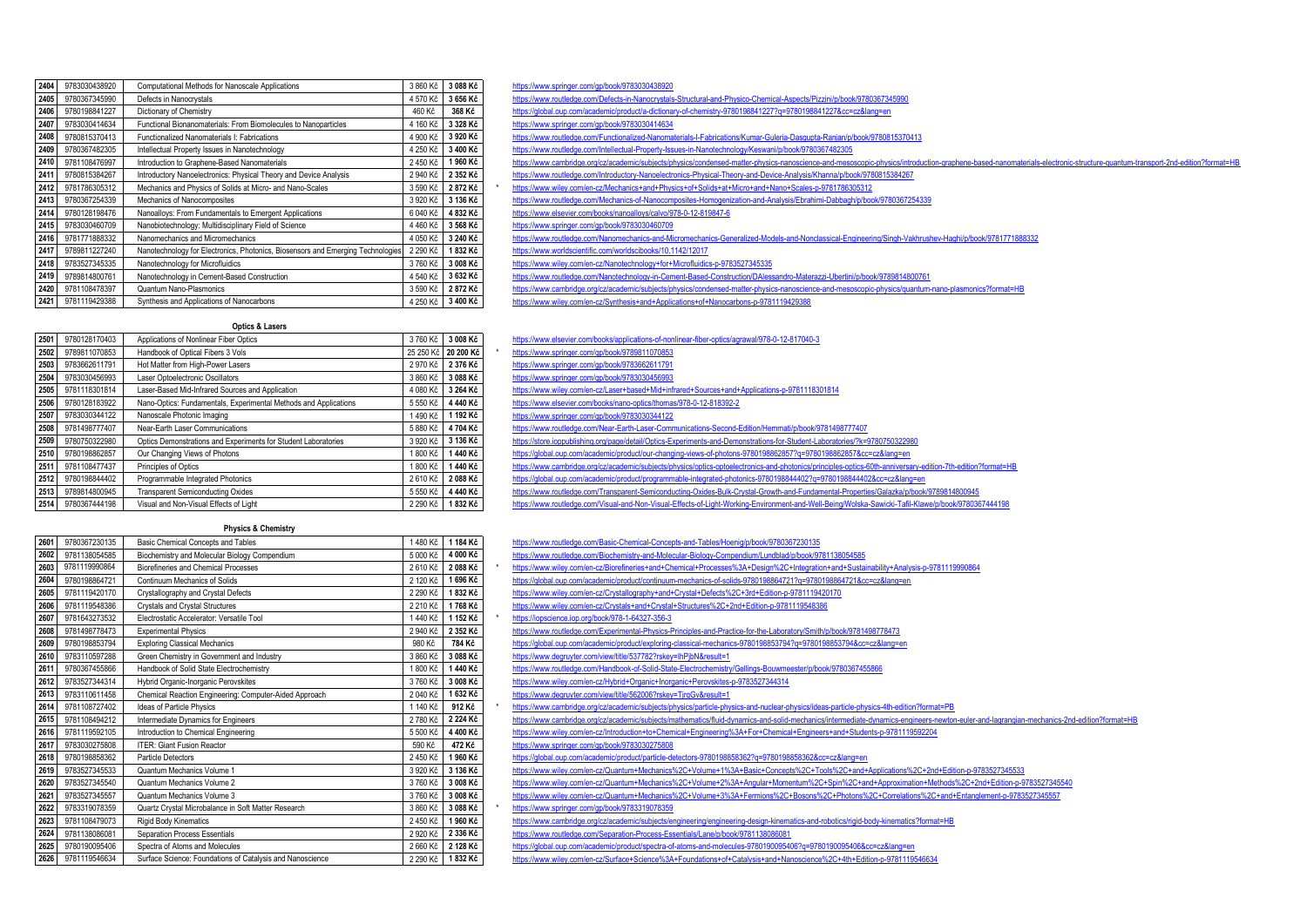| 2404 | 9783030438920                                                                                  | Computational Methods for Nanoscale Applications                                | 3 860 Kč | 3 088 Kč |  |  |
|------|------------------------------------------------------------------------------------------------|---------------------------------------------------------------------------------|----------|----------|--|--|
| 2405 | 9780367345990                                                                                  | 4 570 Kč<br>Defects in Nanocrystals                                             |          |          |  |  |
| 2406 | 9780198841227                                                                                  | 460 Kč                                                                          | 368 Kč   |          |  |  |
| 2407 | Functional Bionanomaterials: From Biomolecules to Nanoparticles<br>9783030414634<br>4 160 Kč   |                                                                                 |          |          |  |  |
| 2408 | 9780815370413                                                                                  | Functionalized Nanomaterials I: Fabrications                                    | 4 900 Kč | 3 920 Kč |  |  |
| 2409 | 9780367482305                                                                                  | 4 250 Kč<br>Intellectual Property Issues in Nanotechnology                      |          |          |  |  |
| 2410 | 9781108476997<br>2 450 Kč<br>Introduction to Graphene-Based Nanomaterials                      |                                                                                 |          |          |  |  |
| 2411 | 9780815384267<br>Introductory Nanoelectronics: Physical Theory and Device Analysis<br>2 940 Kč |                                                                                 |          |          |  |  |
| 2412 | 9781786305312                                                                                  | Mechanics and Physics of Solids at Micro- and Nano-Scales<br>3 590 Kč           |          |          |  |  |
| 2413 | 3 920 Kč<br>9780367254339<br>Mechanics of Nanocomposites                                       |                                                                                 |          | 3 136 Kč |  |  |
| 2414 | 9780128198476                                                                                  | Nanoalloys: From Fundamentals to Emergent Applications                          | 6 040 Kč | 4 832 Kč |  |  |
| 2415 | 9783030460709                                                                                  | Nanobiotechnology: Multidisciplinary Field of Science                           | 4 460 Kč | 3 568 Kč |  |  |
| 2416 | 9781771888332                                                                                  | Nanomechanics and Micromechanics                                                | 4 050 Kč | 3 240 Kč |  |  |
| 2417 | 9789811227240                                                                                  | Nanotechnology for Electronics, Photonics, Biosensors and Emerging Technologies | 2 290 Kč | 1832 Kč  |  |  |
| 2418 | 9783527345335                                                                                  | Nanotechnology for Microfluidics                                                | 3760 Kč  | 3 008 Kč |  |  |
| 2419 | 9789814800761                                                                                  | Nanotechnology in Cement-Based Construction                                     | 4 540 Kč | 3 632 Kč |  |  |
| 2420 | 9781108478397                                                                                  | Quantum Nano-Plasmonics                                                         | 3 590 Kč | 2872 Kč  |  |  |
| 2421 | 9781119429388                                                                                  | 4 250 Kč<br>3 400 Kč<br>Synthesis and Annlications of Nanocarbons.              |          |          |  |  |

#### <https://www.springer.com/gp/book/9783030438920>

2405<br><https://www.routledge.com/Defects-in-Nanocrystals-Structural-and-Physico-Chemical-Aspects/Pizzini/p/book/9780367345990>

**2406** 9780198841227 Dictionary of Chemistry 460 Kč **368 Kč** <https://global.oup.com/academic/product/a-dictionary-of-chemistry-9780198841227?q=9780198841227&cc=cz&lang=en>

<https://www.springer.com/gp/book/9783030414634>

- <https://www.routledge.com/Functionalized-Nanomaterials-I-Fabrications/Kumar-Guleria-Dasgupta-Ranjan/p/book/9780815370413>
- nttps://www.routledge.com/Intellectual-Property-Issues-in-Nanotechnology/Keswani/p/book/9780367482305
- <https://www.cambridge.org/cz/academic/subjects/physics/condensed-matter-physics-nanoscience-and-mesoscopic-physics/introduction-graphene-based-nanomaterials-electronic-structure-quantum-transport-2nd-edition?format=HB>
- <https://www.routledge.com/Introductory-Nanoelectronics-Physical-Theory-and-Device-Analysis/Khanna/p/book/9780815384267>
- <https://www.wiley.com/en-cz/Mechanics+and+Physics+of+Solids+at+Micro+and+Nano+Scales-p-9781786305312>
- <https://www.routledge.com/Mechanics-of-Nanocomposites-Homogenization-and-Analysis/Ebrahimi-Dabbagh/p/book/9780367254339>
- **2414** 9780128198476 Nanoalloys: From Fundamentals to Emergent Applications 6 040 Kč **4 832 Kč** <https://www.elsevier.com/books/nanoalloys/calvo/978-0-12-819847-6>

### **2415** 9783030460709 Nanobiotechnology: Multidisciplinary Field of Science 4 460 Kč **3 568 Kč** <https://www.springer.com/gp/book/9783030460709>

- https://www.routledge.com/Nanomechanics-and-Micromechanics-Generalized-Models-and-Nonclassical-Engineering/Singh-Vakhrushey-Haghi/p/book/9781771888332
- **2417** 9789811227240 Nanotechnology for Electronics, Photonics, Biosensors and Emerging Technologies 2 290 Kč **1 832 Kč** <https://www.worldscientific.com/worldscibooks/10.1142/12017>
- **2418** 9783527345335 Nanotechnology for Microfluidics 3 760 Kč **3 008 Kč** <https://www.wiley.com/en-cz/Nanotechnology+for+Microfluidics-p-9783527345335>
- **2419** 9789814800761 Nanotechnology in Cement-Based Construction 4 540 Kč **3 632 Kč** <https://www.routledge.com/Nanotechnology-in-Cement-Based-Construction/DAlessandro-Materazzi-Ubertini/p/book/9789814800761>
- **2420** 9781108478397 Quantum Nano-Plasmonics 3 590 Kč **2 872 Kč** <https://www.cambridge.org/cz/academic/subjects/physics/condensed-matter-physics-nanoscience-and-mesoscopic-physics/quantum-nano-plasmonics?format=HB>
- **2421** 9781119429388 Synthesis and Applications of Nanocarbons 4 250 Kč **3 400 Kč** <https://www.wiley.com/en-cz/Synthesis+and+Applications+of+Nanocarbons-p-9781119429388>

#### **Optics & Lasers**

| 2501 | 9780128170403 | Applications of Nonlinear Fiber Optics                           | 3760 Kč   | 3 008 Kč  |
|------|---------------|------------------------------------------------------------------|-----------|-----------|
| 2502 | 9789811070853 | Handbook of Optical Fibers 3 Vols                                | 25 250 Kč | 20 200 Kč |
| 2503 | 9783662611791 | Hot Matter from High-Power Lasers                                | 2 970 Kč  | 2 376 Kč  |
| 2504 | 9783030456993 | Laser Optoelectronic Oscillators                                 | 3 860 Kč  | 3 088 Kč  |
| 2505 | 9781118301814 | Laser-Based Mid-Infrared Sources and Application                 | 4 080 Kč  | 3 264 Kč  |
| 2506 | 9780128183922 | Nano-Optics: Fundamentals, Experimental Methods and Applications | 5 550 Kč  | 4 440 Kč  |
| 2507 | 9783030344122 | Nanoscale Photonic Imaging                                       | 1490 Kč   | 1 192 Kč  |
| 2508 | 9781498777407 | Near-Earth Laser Communications                                  | 5 880 Kč  | 4704 Kč   |
| 2509 | 9780750322980 | Optics Demonstrations and Experiments for Student Laboratories   | 3 920 Kč  | 3 136 Kč  |
| 2510 | 9780198862857 | Our Changing Views of Photons                                    | 800 Kč    | 1440 Kč   |
| 2511 | 9781108477437 | Principles of Optics<br>800 Kč                                   |           | 1440 Kč   |
| 2512 | 9780198844402 | Programmable Integrated Photonics<br>2610 Kč                     |           | 2088 Kč   |
| 2513 | 9789814800945 | <b>Transparent Semiconducting Oxides</b><br>5 550 Kč             |           | 4 440 Kč  |
| 2514 | 9780367444198 | 2 290 Kč<br>Visual and Non-Visual Effects of Light               |           | 1832 Kč   |

#### **Physics & Chemistry**

| 2601 | 9780367230135                                                                          | Basic Chemical Concepts and Tables                                               | 1480 Kč  | 1 184 Kč |  |  |
|------|----------------------------------------------------------------------------------------|----------------------------------------------------------------------------------|----------|----------|--|--|
| 2602 | 9781138054585                                                                          | Biochemistry and Molecular Biology Compendium                                    | 5 000 Kč | 4 000 Kč |  |  |
| 2603 | 9781119990864                                                                          | <b>Biorefineries and Chemical Processes</b><br>2610 Kč                           |          |          |  |  |
| 2604 | 9780198864721                                                                          | 2 120 Kč                                                                         | 1696 Kč  |          |  |  |
| 2605 | 9781119420170                                                                          | Continuum Mechanics of Solids<br>2 290 Kč<br>Crystallography and Crystal Defects |          |          |  |  |
| 2606 | 9781119548386                                                                          | Crystals and Crystal Structures<br>2 210 Kč                                      |          |          |  |  |
| 2607 | 9781643273532                                                                          | Electrostatic Accelerator: Versatile Tool                                        | 1 440 Kč | 1152 Kč  |  |  |
| 2608 | 9781498778473                                                                          | <b>Experimental Physics</b>                                                      | 2 940 Kč | 2 352 Kč |  |  |
| 2609 | 9780198853794                                                                          | 980 Kč                                                                           | 784 Kč   |          |  |  |
| 2610 | 3 860 Kč<br>9783110597288<br>Green Chemistry in Government and Industry                |                                                                                  |          |          |  |  |
| 2611 | Handbook of Solid State Electrochemistry<br>1800 Kč<br>9780367455866                   |                                                                                  |          |          |  |  |
| 2612 | 9783527344314<br>Hybrid Organic-Inorganic Perovskites<br>3760 Kč                       |                                                                                  |          |          |  |  |
| 2613 | 9783110611458<br>Chemical Reaction Engineering: Computer-Aided Approach<br>2 040 Kč    |                                                                                  |          |          |  |  |
| 2614 | 9781108727402                                                                          | Ideas of Particle Physics<br>1 140 Kč                                            |          |          |  |  |
| 2615 | 9781108494212<br>Intermediate Dynamics for Engineers<br>2780 Kč                        |                                                                                  |          | 2 224 Kč |  |  |
| 2616 | 9781119592105<br>Introduction to Chemical Engineering<br>5 500 Kč                      |                                                                                  |          |          |  |  |
| 2617 | 9783030275808                                                                          | <b>ITER: Giant Fusion Reactor</b>                                                | 590 Kč   | 472 Kč   |  |  |
| 2618 | 9780198858362                                                                          | <b>Particle Detectors</b>                                                        | 2450 Kč  | 1960 Kč  |  |  |
| 2619 | 9783527345533                                                                          | Quantum Mechanics Volume 1                                                       | 3 920 Kč | 3 136 Kč |  |  |
| 2620 | 9783527345540                                                                          | Quantum Mechanics Volume 2                                                       | 3760 Kč  | 3 008 Kč |  |  |
| 2621 | 9783527345557                                                                          | Quantum Mechanics Volume 3                                                       | 3760 Kč  | 3 008 Kč |  |  |
| 2622 | 9783319078359                                                                          | Quartz Crystal Microbalance in Soft Matter Research                              | 3 860 Kč | 3 088 Kč |  |  |
| 2623 | 9781108479073<br>Rigid Body Kinematics<br>2 450 Kč                                     |                                                                                  | 1960 Kč  |          |  |  |
| 2624 | 9781138086081<br>Separation Process Essentials<br>2 920 Kč                             |                                                                                  |          |          |  |  |
| 2625 | 9780190095406                                                                          | Spectra of Atoms and Molecules<br>2 660 Kč                                       |          |          |  |  |
| 2626 | Surface Science: Foundations of Catalysis and Nanoscience<br>2 290 Kč<br>9781119546634 |                                                                                  |          |          |  |  |

 9780128170403 Applications of Nonlinear Fiber Optics 3 760 Kč **3 008 Kč** <https://www.elsevier.com/books/applications-of-nonlinear-fiber-optics/agrawal/978-0-12-817040-3> 9789811070853 Handbook of Optical Fibers 3 Vols 25 250 Kč **20 200 Kč** \* <https://www.springer.com/gp/book/9789811070853> 9783662611791 Hot Matter from High-Power Lasers 2 970 Kč **2 376 Kč** <https://www.springer.com/gp/book/9783662611791> 9783030456993 Laser Optoelectronic Oscillators 3 860 Kč **3 088 Kč** <https://www.springer.com/gp/book/9783030456993> 9781118301814 Laser-Based Mid-Infrared Sources and Application 4 080 Kč **3 264 Kč** <https://www.wiley.com/en-cz/Laser+based+Mid+infrared+Sources+and+Applications-p-9781118301814> <https://www.elsevier.com/books/nano-optics/thomas/978-0-12-818392-2> 9783030344122 Nanoscale Photonic Imaging 1 490 Kč **1 192 Kč** <https://www.springer.com/gp/book/9783030344122> <https://www.routledge.com/Near-Earth-Laser-Communications-Second-Edition/Hemmati/p/book/9781498777407> https://store.joppublishing.org/page/detail/Optics-Experiments-and-Demonstrations-for-Student-Laboratories/?k=9780750322980 9780198862857 Our Changing Views of Photons 1 800 Kč **1 440 Kč** <https://global.oup.com/academic/product/our-changing-views-of-photons-9780198862857?q=9780198862857&cc=cz&lang=en> https://www.cambridge.org/cz/academic/subjects/physics/ontics-ontoelectronics-and-photonics/orinciples-optics-60th-anniversary-edition-7th-edition?format=HR 222<br><https://global.oup.com/academic/product/programmable-integrated-photonics-9780198844402?q=9780198844402&cc=cz&lang=en> 9789814800945 Transparent Semiconducting Oxides 5 550 Kč **4 440 Kč** <https://www.routledge.com/Transparent-Semiconducting-Oxides-Bulk-Crystal-Growth-and-Fundamental-Properties/Galazka/p/book/9789814800945>

https://www.mutledge.com/Visual-and-Non-Visual-Fffects-of-Light-Working-Environment-and-Well-Being/Wolska-Sawicki-Tafil-Klawe/p/book/9780367444198

 9780367230135 Basic Chemical Concepts and Tables 1 480 Kč **1 184 Kč** <https://www.routledge.com/Basic-Chemical-Concepts-and-Tables/Hoenig/p/book/9780367230135> 9781138054585 Biochemistry and Molecular Biology Compendium 5 000 Kč **4 000 Kč** <https://www.routledge.com/Biochemistry-and-Molecular-Biology-Compendium/Lundblad/p/book/9781138054585> 9781119990864 Biorefineries and Chemical Processes 2 610 Kč **2 088 Kč** \* <https://www.wiley.com/en-cz/Biorefineries+and+Chemical+Processes%3A+Design%2C+Integration+and+Sustainability+Analysis-p-9781119990864> <https://global.oup.com/academic/product/continuum-mechanics-of-solids-9780198864721?q=9780198864721&cc=cz&lang=en> <https://www.wiley.com/en-cz/Crystallography+and+Crystal+Defects%2C+3rd+Edition-p-9781119420170> <https://www.wiley.com/en-cz/Crystals+and+Crystal+Structures%2C+2nd+Edition-p-9781119548386> 9781643273532 Electrostatic Accelerator: Versatile Tool 1 440 Kč **1 152 Kč** \* <https://iopscience.iop.org/book/978-1-64327-356-3> <https://www.routledge.com/Experimental-Physics-Principles-and-Practice-for-the-Laboratory/Smith/p/book/9781498778473> 9780198853794 Exploring Classical Mechanics 980 Kč **784 Kč** <https://global.oup.com/academic/product/exploring-classical-mechanics-9780198853794?q=9780198853794&cc=cz&lang=en> 9783110597288 Green Chemistry in Government and Industry 3 860 Kč **3 088 Kč** <https://www.degruyter.com/view/title/537782?rskey=IhPjbN&result=1> <https://www.routledge.com/Handbook-of-Solid-State-Electrochemistry/Gellings-Bouwmeester/p/book/9780367455866> <https://www.wiley.com/en-cz/Hybrid+Organic+Inorganic+Perovskites-p-9783527344314> 9783110611458 Chemical Reaction Engineering: Computer-Aided Approach 2 040 Kč **1 632 Kč** <https://www.degruyter.com/view/title/562006?rskey=TjrqGv&result=1> 9781108727402 Ideas of Particle Physics 1 140 Kč **912 Kč** \* <https://www.cambridge.org/cz/academic/subjects/physics/particle-physics-and-nuclear-physics/ideas-particle-physics-4th-edition?format=PB> <https://www.cambridge.org/cz/academic/subjects/mathematics/fluid-dynamics-and-solid-mechanics/intermediate-dynamics-engineers-newton-euler-and-lagrangian-mechanics-2nd-edition?format=HB> 9781119592105 Introduction to Chemical Engineering 5 500 Kč **4 400 Kč** <https://www.wiley.com/en-cz/Introduction+to+Chemical+Engineering%3A+For+Chemical+Engineers+and+Students-p-9781119592204> 9783030275808 ITER: Giant Fusion Reactor 590 Kč **472 Kč** <https://www.springer.com/gp/book/9783030275808> 9780198858362 Particle Detectors 2 450 Kč **1 960 Kč** <https://global.oup.com/academic/product/particle-detectors-9780198858362?q=9780198858362&cc=cz&lang=en> 9783527345533 Quantum Mechanics Volume 1 3 920 Kč **3 136 Kč** <https://www.wiley.com/en-cz/Quantum+Mechanics%2C+Volume+1%3A+Basic+Concepts%2C+Tools%2C+and+Applications%2C+2nd+Edition-p-9783527345533> 9783527345540 Quantum Mechanics Volume 2 3 760 Kč **3 008 Kč** <https://www.wiley.com/en-cz/Quantum+Mechanics%2C+Volume+2%3A+Angular+Momentum%2C+Spin%2C+and+Approximation+Methods%2C+2nd+Edition-p-9783527345540> <https://www.wiley.com/en-cz/Quantum+Mechanics%2C+Volume+3%3A+Fermions%2C+Bosons%2C+Photons%2C+Correlations%2C+and+Entanglement-p-9783527345557> <https://www.springer.com/gp/book/9783319078359> 9781108479073 Rigid Body Kinematics 2 450 Kč **1 960 Kč** <https://www.cambridge.org/cz/academic/subjects/engineering/engineering-design-kinematics-and-robotics/rigid-body-kinematics?format=HB> 9781138086081 Separation Process Essentials 2 920 Kč **2 336 Kč** <https://www.routledge.com/Separation-Process-Essentials/Lane/p/book/9781138086081> 9780190095406 Spectra of Atoms and Molecules 2 660 Kč **2 128 Kč** <https://global.oup.com/academic/product/spectra-of-atoms-and-molecules-9780190095406?q=9780190095406&cc=cz&lang=en>

<https://www.wiley.com/en-cz/Surface+Science%3A+Foundations+of+Catalysis+and+Nanoscience%2C+4th+Edition-p-9781119546634>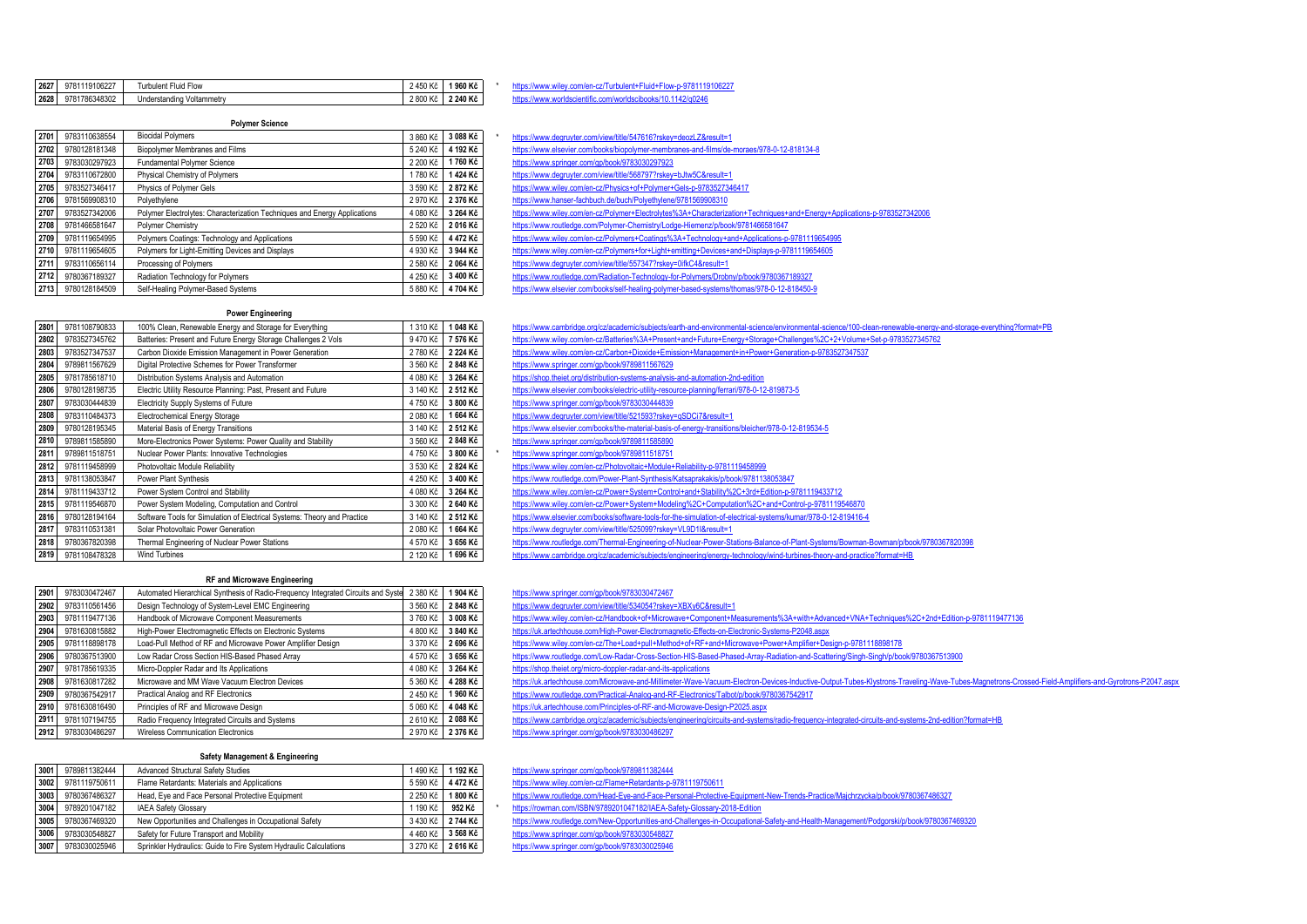| 2627 | 9781119106227 | $\sim$<br>Turbulent Fluid Flow | AEO KÃ<br>400 NG | 1960 Kč  | TUUZZ<br>.<br> |
|------|---------------|--------------------------------|------------------|----------|----------------|
| 2628 | 9781786348302 | Understanding Voltammetry      | 2 800 Kč         | 2 240 Kč |                |

#### **Polymer Science**

| 2701 | 9783110638554                                                     | <b>Biocidal Polymers</b>                                                              |          | 3 088 Kč |
|------|-------------------------------------------------------------------|---------------------------------------------------------------------------------------|----------|----------|
| 2702 | Biopolymer Membranes and Films<br>9780128181348                   |                                                                                       | 5 240 Kč | 4 192 Kč |
| 2703 | 9783030297923                                                     | Fundamental Polymer Science                                                           | 2 200 Kč | 1760 Kč  |
| 2704 | 9783110672800                                                     | Physical Chemistry of Polymers                                                        | 1780 Kč  | 1424 Kč  |
| 2705 | 9783527346417<br>Physics of Polymer Gels                          |                                                                                       | 3 590 Kč | 2872Kč   |
| 2706 | 9781569908310<br>Polyethylene                                     |                                                                                       | 2 970 Kč | 2 376 Kč |
| 2707 | 9783527342006                                                     | Polymer Electrolytes: Characterization Techniques and Energy Applications<br>4 080 Kč |          | 3 264 Kč |
| 2708 | 9781466581647<br>Polymer Chemistry                                |                                                                                       | 2 520 Kč | 2016 Kč  |
| 2709 | 9781119654995                                                     | Polymers Coatings: Technology and Applications                                        | 5 590 Kč | 4 472 Kč |
| 2710 | Polymers for Light-Emitting Devices and Displays<br>9781119654605 |                                                                                       | 4 930 Kč | 3 944 Kč |
| 2711 | 9783110656114<br>Processing of Polymers                           |                                                                                       | 2 580 Kč | 2064 Kč  |
| 2712 | 9780367189327<br>Radiation Technology for Polymers                |                                                                                       | 4 250 Kč | 3 400 Kč |
| 2713 | 9780128184509<br>Self-Healing Polymer-Based Systems               |                                                                                       | 5880 Kč  | 4704 Kč  |

- **2701** 9783110638554 Biocidal Polymers 3 860 Kč **3 088 Kč** \* <https://www.degruyter.com/view/title/547616?rskey=deozLZ&result=1> **2702** 9780128181348 Biopolymer Membranes and Films 5 240 Kč **4 192 Kč** <https://www.elsevier.com/books/biopolymer-membranes-and-films/de-moraes/978-0-12-818134-8> **2703** 9783030297923 Fundamental Polymer Science 2 200 Kč **1 760 Kč** <https://www.springer.com/gp/book/9783030297923> **2704** 9783110672800 Physical Chemistry of Polymers 1 780 Kč **1 424 Kč** <https://www.degruyter.com/view/title/568797?rskey=bJtw5C&result=1> **2705** 9783527346417 Physics of Polymer Gels 3 590 Kč **2 872 Kč** <https://www.wiley.com/en-cz/Physics+of+Polymer+Gels-p-9783527346417> **<https://www.hanser-fachbuch.de/buch/Polyethylene/9781569908310>** <https://www.wiley.com/en-cz/Polymer+Electrolytes%3A+Characterization+Techniques+and+Energy+Applications-p-9783527342006> **2708** 9781466581647 Polymer Chemistry 2 520 Kč **2 016 Kč** <https://www.routledge.com/Polymer-Chemistry/Lodge-Hiemenz/p/book/9781466581647> **274119654995** <https://www.wiley.com/en-cz/Polymers+Coatings%3A+Technology+and+Applications-p-9781119654995> 2271119654605 Polymers for Light-emitting +Devices+and+Displays-p-9781119654605<br>and Displays-p-9781119654605 **2711** 9783110656114 Processing of Polymers 2 580 Kč **2 064 Kč** <https://www.degruyter.com/view/title/557347?rskey=0ifkC4&result=1> **2712** 9780367189327 Radiation Technology for Polymers 4 250 Kč **3 400 Kč** <https://www.routledge.com/Radiation-Technology-for-Polymers/Drobny/p/book/9780367189327>
	- 271<br><https://www.elsevier.com/books/self-healing-polymer-based-systems/thomas/978-0-12-818450-9>

#### **Power Engineering**

| 2801 | 9781108790833                                                                | 100% Clean, Renewable Energy and Storage for Everything                              | 1 310 Kč | 1048 Kč  |  |
|------|------------------------------------------------------------------------------|--------------------------------------------------------------------------------------|----------|----------|--|
| 2802 | 9783527345762                                                                | Batteries: Present and Future Energy Storage Challenges 2 Vols                       |          |          |  |
| 2803 | 9783527347537                                                                | 2780 Kč                                                                              | 2 224 Kč |          |  |
| 2804 | 9789811567629                                                                | Digital Protective Schemes for Power Transformer                                     | 3 560 Kč | 2848 Kč  |  |
| 2805 | 9781785618710                                                                | Distribution Systems Analysis and Automation                                         | 4 080 Kč | 3 264 Kč |  |
| 2806 | 9780128198735                                                                | Electric Utility Resource Planning: Past, Present and Future                         | 3 140 Kč | 2 512 Kč |  |
| 2807 | 9783030444839                                                                | Electricity Supply Systems of Future                                                 | 4750 Kč  | 3 800 Kč |  |
| 2808 | 9783110484373                                                                | 2 080 Kč<br>Electrochemical Energy Storage                                           |          | 1664 Kč  |  |
| 2809 | 9780128195345<br>Material Basis of Energy Transitions                        |                                                                                      | 3 140 Kč | 2 512 Kč |  |
| 2810 | 9789811585890<br>More-Electronics Power Systems: Power Quality and Stability |                                                                                      | 3 560 Kč | 2848 Kč  |  |
| 2811 | 9789811518751                                                                | 4750 Kč<br>Nuclear Power Plants: Innovative Technologies                             |          | 3 800 Kč |  |
| 2812 | 9781119458999                                                                | Photovoltaic Module Reliability                                                      | 3 530 Kč | 2824 Kč  |  |
| 2813 | 9781138053847                                                                | Power Plant Synthesis                                                                | 4 250 Kč | 3 400 Kč |  |
| 2814 | 9781119433712                                                                | Power System Control and Stability                                                   | 4 080 Kč | 3 264 Kč |  |
| 2815 | 9781119546870                                                                | Power System Modeling, Computation and Control                                       | 3 300 Kč | 2 640 Kč |  |
| 2816 | 9780128194164                                                                | Software Tools for Simulation of Electrical Systems: Theory and Practice<br>3 140 Kč |          | 2 512 Kč |  |
| 2817 | 9783110531381                                                                | Solar Photovoltaic Power Generation                                                  | 2 080 Kč | 1664 Kč  |  |
| 2818 | 9780367820398                                                                | 4 570 Kč<br>Thermal Engineering of Nuclear Power Stations                            |          | 3 656 Kč |  |
| 2819 | 9781108478328                                                                | <b>Wind Turbines</b><br>2 120 Kč                                                     |          | 1696 Kč  |  |

## https://www.cambridge.org/cz/academic/subiects/earth-and-environmental-science/environmental-science/100-clean-renewable-energy-and-storage-everything?format=PB https://www.wiley.com/en-cz/Batteries%3A+Present+and+Future+Fnergy+Storage+Challenges%2C+2+Volume+Set-p-9783527345762 nttps://www.wiley.com/en-cz/Carbon+Dioxide+Emission+Management+in+Power+Generation-p-9783527347537 <https://www.springer.com/gp/book/9789811567629> **<https://shop.theiet.org/distribution-systems-analysis-and-automation-2nd-edition> 2806** 9780128198735 Electric Utility Resource Planning: Past, Present and Future 3 140 Kč **2 512 Kč** <https://www.elsevier.com/books/electric-utility-resource-planning/ferrari/978-0-12-819873-5> **2807** 9783030444839 Electricity Supply Systems of Future 4 750 Kč **3 800 Kč** <https://www.springer.com/gp/book/9783030444839> **2808** 9783110484373 Electrochemical Energy Storage 2 080 Kč **1 664 Kč** <https://www.degruyter.com/view/title/521593?rskey=qSDCi7&result=1> **2809** 9780128195345 Material Basis of Energy Transitions 3 140 Kč **2 512 Kč** <https://www.elsevier.com/books/the-material-basis-of-energy-transitions/bleicher/978-0-12-819534-5> **2810** 9789811585890 More-Electronics Power Systems: Power Quality and Stability 3 560 Kč **2 848 Kč** <https://www.springer.com/gp/book/9789811585890> **2811** 9789811518751 Nuclear Power Plants: Innovative Technologies 4 750 Kč **3 800 Kč** \* <https://www.springer.com/gp/book/9789811518751> **2812** 9781119458999 Photovoltaic Module Reliability 3 530 Kč **2 824 Kč** <https://www.wiley.com/en-cz/Photovoltaic+Module+Reliability-p-9781119458999> **2813**<br>**2813** <https://www.routledge.com/Power-Plant-Synthesis/Katsaprakakis/p/book/9781138053847> **2814** 9781119433712 Power System Control and Stability 4 080 Kč **3 264 Kč** <https://www.wiley.com/en-cz/Power+System+Control+and+Stability%2C+3rd+Edition-p-9781119433712> **2815** 9781119546870 Power System Modeling, Computation and Control 3 300 Kč **2 640 Kč** <https://www.wiley.com/en-cz/Power+System+Modeling%2C+Computation%2C+and+Control-p-9781119546870> <https://www.elsevier.com/books/software-tools-for-the-simulation-of-electrical-systems/kumar/978-0-12-819416-4> **2817** 9783110531381 Solar Photovoltaic Power Generation 2 080 Kč **1 664 Kč** <https://www.degruyter.com/view/title/525099?rskey=VL9D1I&result=1> <https://www.routledge.com/Thermal-Engineering-of-Nuclear-Power-Stations-Balance-of-Plant-Systems/Bowman-Bowman/p/book/9780367820398> **2819** 9781108478328 Wind Turbines 2 120 Kč **1 696 Kč** <https://www.cambridge.org/cz/academic/subjects/engineering/energy-technology/wind-turbines-theory-and-practice?format=HB>

#### **RF and Microwave Engineering**

| 2901 | 9783030472467                                                                | Automated Hierarchical Synthesis of Radio-Frequency Integrated Circuits and Syste | 2 380 Kč | 1904 Kč  |
|------|------------------------------------------------------------------------------|-----------------------------------------------------------------------------------|----------|----------|
| 2902 | 9783110561456                                                                | 3 560 Kč                                                                          | 2848 Kč  |          |
| 2903 | 9781119477136                                                                | 3760 Kč                                                                           | 3 008 Kč |          |
| 2904 | High-Power Electromagnetic Effects on Electronic Systems<br>9781630815882    |                                                                                   |          |          |
| 2905 | Load-Pull Method of RF and Microwave Power Amplifier Design<br>9781118898178 |                                                                                   |          |          |
| 2906 | Low Radar Cross Section HIS-Based Phased Array<br>9780367513900              |                                                                                   | 4 570 Kč | 3 656 Kč |
| 2907 | Micro-Doppler Radar and Its Applications<br>9781785619335                    |                                                                                   | 4 080 Kč | 3 264 Kč |
| 2908 | 9781630817282                                                                | Microwave and MM Wave Vacuum Electron Devices                                     | 5 360 Kč | 4 288 Kč |
| 2909 | 9780367542917                                                                | Practical Analog and RF Electronics                                               | 2 450 Kč | 1960 Kč  |
| 2910 | Principles of RF and Microwave Design<br>9781630816490                       |                                                                                   | 5 060 Kč | 4 048 Kč |
| 2911 | Radio Frequency Integrated Circuits and Systems<br>9781107194755             |                                                                                   | 2610 Kč  | 2088 Kč  |
| 2912 | 2 970 Kč<br>9783030486297<br>Wireless Communication Electronics              |                                                                                   |          |          |

#### **Safety Management & Engineering**

| 3001 | 9789811382444                                                                 | <b>Advanced Structural Safety Studies</b>                         | 1490 Kč  | 1 192 Kč |  |
|------|-------------------------------------------------------------------------------|-------------------------------------------------------------------|----------|----------|--|
| 3002 | 9781119750611<br>Flame Retardants: Materials and Applications<br>5 590 Kč     |                                                                   |          |          |  |
| 3003 | 9780367486327<br>2 250 Kč<br>Head, Eye and Face Personal Protective Equipment |                                                                   |          | 1800 Kč  |  |
| 3004 | 9789201047182                                                                 | <b>IAEA Safety Glossary</b>                                       | 1 190 Kč | 952 Kč   |  |
| 3005 | 9780367469320                                                                 | New Opportunities and Challenges in Occupational Safety           | 3 430 Kč | 2 744 Kč |  |
| 3006 | 9783030548827                                                                 | Safety for Future Transport and Mobility                          | 4 460 Kč | 3 568 Kč |  |
| 3007 | 9783030025946                                                                 | Sprinkler Hydraulics: Guide to Fire System Hydraulic Calculations | 3 270 Kč | 2616 Kč  |  |

## <https://www.springer.com/gp/book/9783030472467>

**2902** 9783110561456 Design Technology of System-Level EMC Engineering 3 560 Kč **2 848 Kč** <https://www.degruyter.com/view/title/534054?rskey=XBXy6C&result=1>

- <https://www.wiley.com/en-cz/Handbook+of+Microwave+Component+Measurements%3A+with+Advanced+VNA+Techniques%2C+2nd+Edition-p-9781119477136>
- **2904** 9781630815882 High-Power Electromagnetic Effects on Electronic Systems 4 800 Kč **3 840 Kč** <https://uk.artechhouse.com/High-Power-Electromagnetic-Effects-on-Electronic-Systems-P2048.aspx>
- <https://www.wiley.com/en-cz/The+Load+pull+Method+of+RF+and+Microwave+Power+Amplifier+Design-p-9781118898178>
- <https://www.routledge.com/Low-Radar-Cross-Section-HIS-Based-Phased-Array-Radiation-and-Scattering/Singh-Singh/p/book/9780367513900>
- **2907** 9781785619335 Micro-Doppler Radar and Its Applications 4 080 Kč **3 264 Kč** <https://shop.theiet.org/micro-doppler-radar-and-its-applications>
- <https://uk.artechhouse.com/Microwave-and-Millimeter-Wave-Vacuum-Electron-Devices-Inductive-Output-Tubes-Klystrons-Traveling-Wave-Tubes-Magnetrons-Crossed-Field-Amplifiers-and-Gyrotrons-P2047.aspx>
- **2909** 9780367542917 Practical Analog and RF Electronics 2 450 Kč **1 960 Kč** <https://www.routledge.com/Practical-Analog-and-RF-Electronics/Talbot/p/book/9780367542917>
- **2910** 9781630816490 Principles of RF and Microwave Design 5 060 Kč **4 048 Kč** <https://uk.artechhouse.com/Principles-of-RF-and-Microwave-Design-P2025.aspx>
- <https://www.cambridge.org/cz/academic/subjects/engineering/circuits-and-systems/radio-frequency-integrated-circuits-and-systems-2nd-edition?format=HB>
- **2912** 9783030486297 Wireless Communication Electronics 2 970 Kč **2 376 Kč** <https://www.springer.com/gp/book/9783030486297>
- 
- **3001** 9789811382444 Advanced Structural Safety Studies 1 490 Kč **1 192 Kč** <https://www.springer.com/gp/book/9789811382444>

**3002** 9781119750611 Flame Retardants: Materials and Applications 5 590 Kč **4 472 Kč** <https://www.wiley.com/en-cz/Flame+Retardants-p-9781119750611>

- <https://www.routledge.com/Head-Eye-and-Face-Personal-Protective-Equipment-New-Trends-Practice/Majchrzycka/p/book/9780367486327>
- **1006** <https://rowman.com/ISBN/9789201047182/IAEA-Safety-Glossary-2018-Edition>
- <https://www.routledge.com/New-Opportunities-and-Challenges-in-Occupational-Safety-and-Health-Management/Podgorski/p/book/9780367469320>
- **3006** 9783030548827 Safety for Future Transport and Mobility 4 460 Kč **3 568 Kč** <https://www.springer.com/gp/book/9783030548827>
- **3007** 9783030025946 Sprinkler Hydraulics: Guide to Fire System Hydraulic Calculations 3 270 Kč **2 616 Kč** <https://www.springer.com/gp/book/9783030025946>